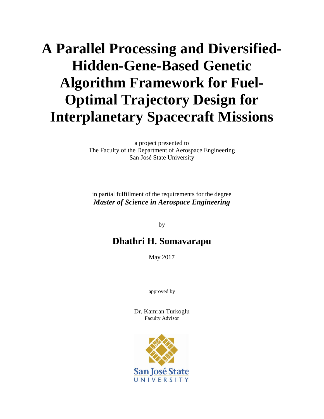# **A Parallel Processing and Diversified-Hidden-Gene-Based Genetic Algorithm Framework for Fuel-Optimal Trajectory Design for Interplanetary Spacecraft Missions**

a project presented to The Faculty of the Department of Aerospace Engineering San José State University

in partial fulfillment of the requirements for the degree *Master of Science in Aerospace Engineering*

by

# **Dhathri H. Somavarapu**

May 2017

approved by

Dr. Kamran Turkoglu Faculty Advisor

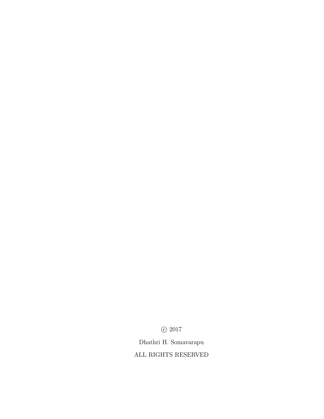$\odot$  2017

Dhathri H. Somavarapu

ALL RIGHTS RESERVED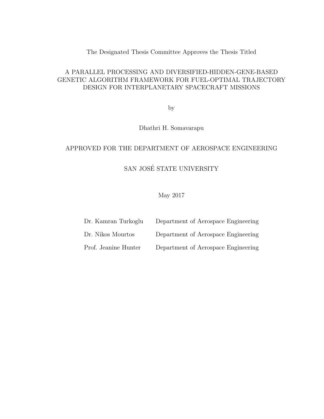## The Designated Thesis Committee Approves the Thesis Titled

## A PARALLEL PROCESSING AND DIVERSIFIED-HIDDEN-GENE-BASED GENETIC ALGORITHM FRAMEWORK FOR FUEL-OPTIMAL TRAJECTORY DESIGN FOR INTERPLANETARY SPACECRAFT MISSIONS

by

Dhathri H. Somavarapu

#### APPROVED FOR THE DEPARTMENT OF AEROSPACE ENGINEERING

# SAN JOSÉ STATE UNIVERSITY

May 2017

| Dr. Kamran Turkoglu  | Department of Aerospace Engineering |
|----------------------|-------------------------------------|
| Dr. Nikos Mourtos    | Department of Aerospace Engineering |
| Prof. Jeanine Hunter | Department of Aerospace Engineering |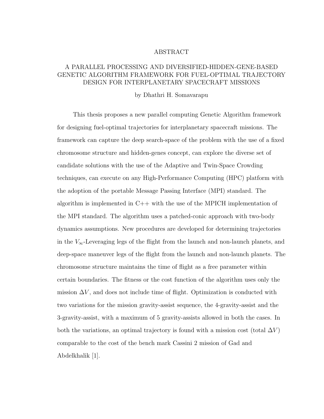#### ABSTRACT

## A PARALLEL PROCESSING AND DIVERSIFIED-HIDDEN-GENE-BASED GENETIC ALGORITHM FRAMEWORK FOR FUEL-OPTIMAL TRAJECTORY DESIGN FOR INTERPLANETARY SPACECRAFT MISSIONS

#### by Dhathri H. Somavarapu

This thesis proposes a new parallel computing Genetic Algorithm framework for designing fuel-optimal trajectories for interplanetary spacecraft missions. The framework can capture the deep search-space of the problem with the use of a fixed chromosome structure and hidden-genes concept, can explore the diverse set of candidate solutions with the use of the Adaptive and Twin-Space Crowding techniques, can execute on any High-Performance Computing (HPC) platform with the adoption of the portable Message Passing Interface (MPI) standard. The algorithm is implemented in  $C++$  with the use of the MPICH implementation of the MPI standard. The algorithm uses a patched-conic approach with two-body dynamics assumptions. New procedures are developed for determining trajectories in the  $V_{\infty}$ -Leveraging legs of the flight from the launch and non-launch planets, and deep-space maneuver legs of the flight from the launch and non-launch planets. The chromosome structure maintains the time of flight as a free parameter within certain boundaries. The fitness or the cost function of the algorithm uses only the mission  $\Delta V$ , and does not include time of flight. Optimization is conducted with two variations for the mission gravity-assist sequence, the 4-gravity-assist and the 3-gravity-assist, with a maximum of 5 gravity-assists allowed in both the cases. In both the variations, an optimal trajectory is found with a mission cost (total  $\Delta V$ ) comparable to the cost of the bench mark Cassini 2 mission of Gad and Abdelkhalik [1].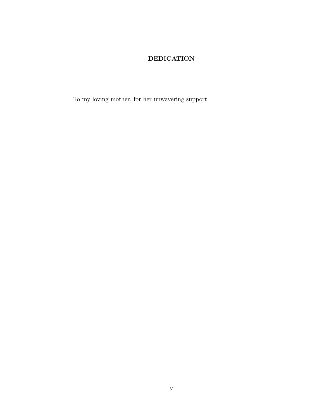## DEDICATION

To my loving mother, for her unwavering support.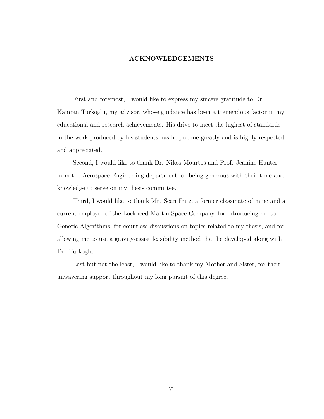#### ACKNOWLEDGEMENTS

First and foremost, I would like to express my sincere gratitude to Dr. Kamran Turkoglu, my advisor, whose guidance has been a tremendous factor in my educational and research achievements. His drive to meet the highest of standards in the work produced by his students has helped me greatly and is highly respected and appreciated.

Second, I would like to thank Dr. Nikos Mourtos and Prof. Jeanine Hunter from the Aerospace Engineering department for being generous with their time and knowledge to serve on my thesis committee.

Third, I would like to thank Mr. Sean Fritz, a former classmate of mine and a current employee of the Lockheed Martin Space Company, for introducing me to Genetic Algorithms, for countless discussions on topics related to my thesis, and for allowing me to use a gravity-assist feasibility method that he developed along with Dr. Turkoglu.

Last but not the least, I would like to thank my Mother and Sister, for their unwavering support throughout my long pursuit of this degree.

vi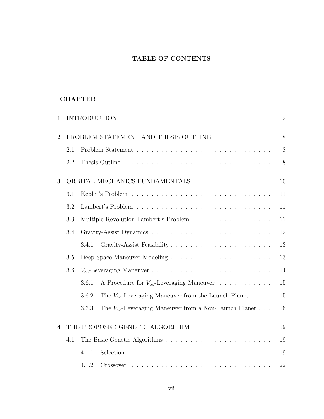## TABLE OF CONTENTS

## **CHAPTER**

| 1                        |     | <b>INTRODUCTION</b>                                                     | $\overline{2}$ |
|--------------------------|-----|-------------------------------------------------------------------------|----------------|
| $\overline{2}$           |     | PROBLEM STATEMENT AND THESIS OUTLINE                                    | 8              |
|                          | 2.1 |                                                                         | 8              |
|                          | 2.2 | Thesis Outline                                                          | $8\,$          |
| 3                        |     | ORBITAL MECHANICS FUNDAMENTALS                                          | 10             |
|                          | 3.1 |                                                                         | 11             |
|                          | 3.2 |                                                                         | 11             |
|                          | 3.3 | Multiple-Revolution Lambert's Problem                                   | 11             |
|                          | 3.4 |                                                                         | 12             |
|                          |     | 3.4.1                                                                   | 13             |
|                          | 3.5 |                                                                         | 13             |
|                          | 3.6 |                                                                         | 14             |
|                          |     | A Procedure for $V_{\infty}$ -Leveraging Maneuver<br>3.6.1              | 15             |
|                          |     | The $V_{\infty}$ -Leveraging Maneuver from the Launch Planet<br>3.6.2   | 15             |
|                          |     | The $V_{\infty}$ -Leveraging Maneuver from a Non-Launch Planet<br>3.6.3 | 16             |
| $\overline{\mathcal{A}}$ |     | THE PROPOSED GENETIC ALGORITHM                                          | 19             |
|                          | 4.1 |                                                                         | 19             |
|                          |     | 4.1.1                                                                   | 19             |
|                          |     | 4.1.2                                                                   | 22             |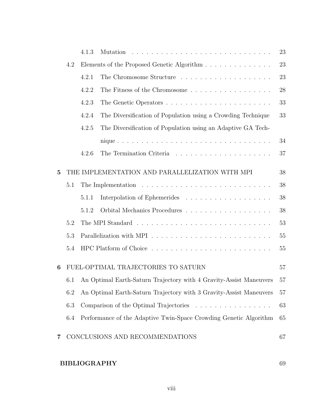|                |                                                   | 4.1.3 |                                                                                           | 23 |  |  |
|----------------|---------------------------------------------------|-------|-------------------------------------------------------------------------------------------|----|--|--|
|                | Elements of the Proposed Genetic Algorithm<br>4.2 |       |                                                                                           |    |  |  |
|                |                                                   | 4.2.1 |                                                                                           | 23 |  |  |
|                |                                                   | 4.2.2 | The Fitness of the Chromosome $\ldots \ldots \ldots \ldots \ldots \ldots$                 | 28 |  |  |
|                |                                                   | 4.2.3 |                                                                                           | 33 |  |  |
|                |                                                   | 4.2.4 | The Diversification of Population using a Crowding Technique                              | 33 |  |  |
|                |                                                   | 4.2.5 | The Diversification of Population using an Adaptive GA Tech-                              |    |  |  |
|                |                                                   |       |                                                                                           | 34 |  |  |
|                |                                                   | 4.2.6 |                                                                                           | 37 |  |  |
| $\overline{5}$ |                                                   |       | THE IMPLEMENTATION AND PARALLELIZATION WITH MPI                                           | 38 |  |  |
|                | 5.1                                               |       | The Implementation $\ldots \ldots \ldots \ldots \ldots \ldots \ldots \ldots \ldots$       | 38 |  |  |
|                |                                                   | 5.1.1 |                                                                                           | 38 |  |  |
|                |                                                   | 5.1.2 |                                                                                           | 38 |  |  |
|                | 5.2                                               |       |                                                                                           | 53 |  |  |
|                | 5.3                                               |       | Parallelization with MPI $\ldots \ldots \ldots \ldots \ldots \ldots \ldots \ldots \ldots$ | 55 |  |  |
|                | 5.4                                               |       |                                                                                           | 55 |  |  |
| 6              |                                                   |       | FUEL-OPTIMAL TRAJECTORIES TO SATURN                                                       | 57 |  |  |
|                | 6.1                                               |       | An Optimal Earth-Saturn Trajectory with 4 Gravity-Assist Maneuvers                        | 57 |  |  |
|                | 6.2                                               |       | An Optimal Earth-Saturn Trajectory with 3 Gravity-Assist Maneuvers                        | 57 |  |  |
|                | 6.3                                               |       | Comparison of the Optimal Trajectories                                                    | 63 |  |  |
|                | 6.4                                               |       | Performance of the Adaptive Twin-Space Crowding Genetic Algorithm                         | 65 |  |  |
| 7              |                                                   |       | CONCLUSIONS AND RECOMMENDATIONS                                                           | 67 |  |  |

# BIBLIOGRAPHY 69

viii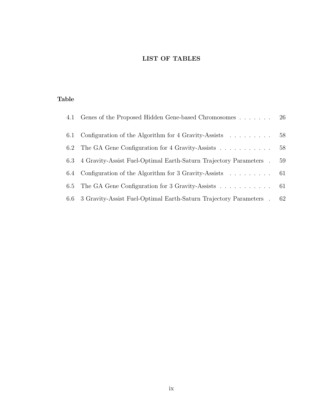## LIST OF TABLES

## Table

|     | 4.1 Genes of the Proposed Hidden Gene-based Chromosomes                            | 26 |
|-----|------------------------------------------------------------------------------------|----|
|     | 6.1 Configuration of the Algorithm for 4 Gravity-Assists                           | 58 |
|     | 6.2 The GA Gene Configuration for 4 Gravity-Assists                                | 58 |
| 6.3 | 4 Gravity-Assist Fuel-Optimal Earth-Saturn Trajectory Parameters                   | 59 |
|     | 6.4 Configuration of the Algorithm for 3 Gravity-Assists $\ldots \ldots \ldots$ 61 |    |
|     | 6.5 The GA Gene Configuration for 3 Gravity-Assists 61                             |    |
|     | 6.6 3 Gravity-Assist Fuel-Optimal Earth-Saturn Trajectory Parameters.              | 62 |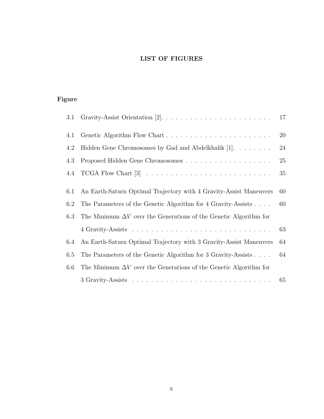## LIST OF FIGURES

# Figure

| 3.1 |                                                                          | 17 |
|-----|--------------------------------------------------------------------------|----|
| 4.1 |                                                                          | 20 |
| 4.2 | Hidden Gene Chromosomes by Gad and Abdelkhalik [1].                      | 24 |
| 4.3 |                                                                          | 25 |
| 4.4 |                                                                          | 35 |
| 6.1 | An Earth-Saturn Optimal Trajectory with 4 Gravity-Assist Maneuvers       | 60 |
| 6.2 | The Parameters of the Genetic Algorithm for 4 Gravity-Assists            | 60 |
| 6.3 | The Minimum $\Delta V$ over the Generations of the Genetic Algorithm for |    |
|     |                                                                          | 63 |
| 6.4 | An Earth-Saturn Optimal Trajectory with 3 Gravity-Assist Maneuvers       | 64 |
| 6.5 | The Parameters of the Genetic Algorithm for 3 Gravity-Assists            | 64 |
| 6.6 | The Minimum $\Delta V$ over the Generations of the Genetic Algorithm for |    |
|     |                                                                          | 65 |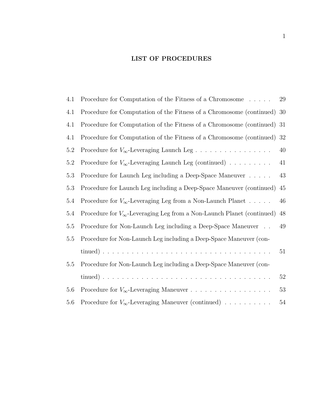## LIST OF PROCEDURES

| 4.1     | Procedure for Computation of the Fitness of a Chromosome                        | 29 |
|---------|---------------------------------------------------------------------------------|----|
| 4.1     | Procedure for Computation of the Fitness of a Chromosome (continued)            | 30 |
| 4.1     | Procedure for Computation of the Fitness of a Chromosome (continued) 31         |    |
| 4.1     | Procedure for Computation of the Fitness of a Chromosome (continued) 32         |    |
| 5.2     |                                                                                 | 40 |
| 5.2     | Procedure for $V_{\infty}$ -Leveraging Launch Leg (continued)                   | 41 |
| 5.3     | Procedure for Launch Leg including a Deep-Space Maneuver                        | 43 |
| 5.3     | Procedure for Launch Leg including a Deep-Space Maneuver (continued)            | 45 |
| 5.4     | Procedure for $V_{\infty}$ -Leveraging Leg from a Non-Launch Planet             | 46 |
| 5.4     | Procedure for $V_{\infty}$ -Leveraging Leg from a Non-Launch Planet (continued) | 48 |
| 5.5     | Procedure for Non-Launch Leg including a Deep-Space Maneuver                    | 49 |
| $5.5\,$ | Procedure for Non-Launch Leg including a Deep-Space Maneuver (con-              |    |
|         |                                                                                 | 51 |
| 5.5     | Procedure for Non-Launch Leg including a Deep-Space Maneuver (con-              |    |
|         |                                                                                 | 52 |
| 5.6     | Procedure for $V_{\infty}$ -Leveraging Maneuver                                 | 53 |
| 5.6     | Procedure for $V_{\infty}$ -Leveraging Maneuver (continued)                     | 54 |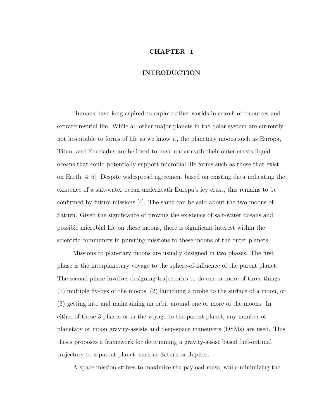#### CHAPTER 1

#### INTRODUCTION

Humans have long aspired to explore other worlds in search of resources and extraterrestrial life. While all other major planets in the Solar system are currently not hospitable to forms of life as we know it, the planetary moons such as Europa, Titan, and Enceladus are believed to have underneath their outer crusts liquid oceans that could potentially support microbial life forms such as those that exist on Earth [4–6]. Despite widespread agreement based on existing data indicating the existence of a salt-water ocean underneath Europa's icy crust, this remains to be confirmed by future missions [4]. The same can be said about the two moons of Saturn. Given the significance of proving the existence of salt-water oceans and possible microbial life on these moons, there is significant interest within the scientific community in pursuing missions to these moons of the outer planets.

Missions to planetary moons are usually designed in two phases. The first phase is the interplanetary voyage to the sphere-of-influence of the parent planet. The second phase involves designing trajectories to do one or more of three things: (1) multiple fly-bys of the moons, (2) launching a probe to the surface of a moon, or (3) getting into and maintaining an orbit around one or more of the moons. In either of those 3 phases or in the voyage to the parent planet, any number of planetary or moon gravity-assists and deep-space maneuvers (DSMs) are used. This thesis proposes a framework for determining a gravity-assist based fuel-optimal trajectory to a parent planet, such as Saturn or Jupiter.

A space mission strives to maximize the payload mass, while minimizing the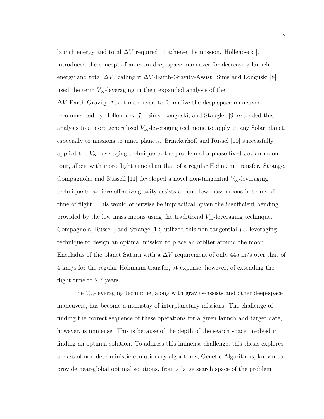launch energy and total  $\Delta V$  required to achieve the mission. Hollenbeck [7] introduced the concept of an extra-deep space maneuver for decreasing launch energy and total  $\Delta V$ , calling it  $\Delta V$ -Earth-Gravity-Assist. Sims and Longuski [8] used the term  $V_{\infty}$ -leveraging in their expanded analysis of the  $\Delta V$ -Earth-Gravity-Assist maneuver, to formalize the deep-space maneuver recommended by Hollenbeck [7]. Sims, Longuski, and Staugler [9] extended this analysis to a more generalized  $V_{\infty}$ -leveraging technique to apply to any Solar planet, especially to missions to inner planets. Brinckerhoff and Russel [10] successfully applied the  $V_{\infty}$ -leveraging technique to the problem of a phase-fixed Jovian moon tour, albeit with more flight time than that of a regular Hohmann transfer. Strange, Compagnola, and Russell [11] developed a novel non-tangential  $V_{\infty}$ -leveraging technique to achieve effective gravity-assists around low-mass moons in terms of time of flight. This would otherwise be impractical, given the insufficient bending provided by the low mass moons using the traditional  $V_{\infty}$ -leveraging technique. Compagnola, Russell, and Strange [12] utilized this non-tangential  $V_{\infty}$ -leveraging technique to design an optimal mission to place an orbiter around the moon Enceladus of the planet Saturn with a  $\Delta V$  requirement of only 445 m/s over that of 4 km/s for the regular Hohmann transfer, at expense, however, of extending the flight time to 2.7 years.

The  $V_{\infty}$ -leveraging technique, along with gravity-assists and other deep-space maneuvers, has become a mainstay of interplanetary missions. The challenge of finding the correct sequence of these operations for a given launch and target date, however, is immense. This is because of the depth of the search space involved in finding an optimal solution. To address this immense challenge, this thesis explores a class of non-deterministic evolutionary algorithms, Genetic Algorithms, known to provide near-global optimal solutions, from a large search space of the problem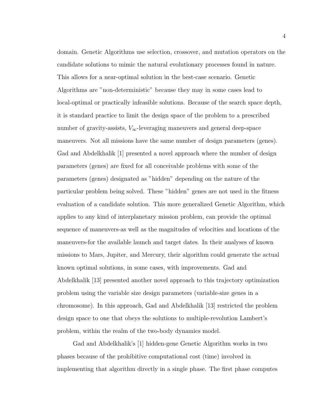domain. Genetic Algorithms use selection, crossover, and mutation operators on the candidate solutions to mimic the natural evolutionary processes found in nature. This allows for a near-optimal solution in the best-case scenario. Genetic Algorithms are "non-deterministic" because they may in some cases lead to local-optimal or practically infeasible solutions. Because of the search space depth, it is standard practice to limit the design space of the problem to a prescribed number of gravity-assists,  $V_{\infty}$ -leveraging maneuvers and general deep-space maneuvers. Not all missions have the same number of design parameters (genes). Gad and Abdelkhalik [1] presented a novel approach where the number of design parameters (genes) are fixed for all conceivable problems with some of the parameters (genes) designated as "hidden" depending on the nature of the particular problem being solved. These "hidden" genes are not used in the fitness evaluation of a candidate solution. This more generalized Genetic Algorithm, which applies to any kind of interplanetary mission problem, can provide the optimal sequence of maneuvers-as well as the magnitudes of velocities and locations of the maneuvers-for the available launch and target dates. In their analyses of known missions to Mars, Jupiter, and Mercury, their algorithm could generate the actual known optimal solutions, in some cases, with improvements. Gad and Abdelkhalik [13] presented another novel approach to this trajectory optimization problem using the variable size design parameters (variable-size genes in a chromosome). In this approach, Gad and Abdelkhalik [13] restricted the problem design space to one that obeys the solutions to multiple-revolution Lambert's problem, within the realm of the two-body dynamics model.

Gad and Abdelkhalik's [1] hidden-gene Genetic Algorithm works in two phases because of the prohibitive computational cost (time) involved in implementing that algorithm directly in a single phase. The first phase computes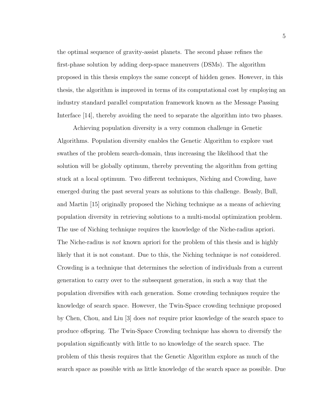the optimal sequence of gravity-assist planets. The second phase refines the first-phase solution by adding deep-space maneuvers (DSMs). The algorithm proposed in this thesis employs the same concept of hidden genes. However, in this thesis, the algorithm is improved in terms of its computational cost by employing an industry standard parallel computation framework known as the Message Passing Interface [14], thereby avoiding the need to separate the algorithm into two phases.

Achieving population diversity is a very common challenge in Genetic Algorithms. Population diversity enables the Genetic Algorithm to explore vast swathes of the problem search-domain, thus increasing the likelihood that the solution will be globally optimum, thereby preventing the algorithm from getting stuck at a local optimum. Two different techniques, Niching and Crowding, have emerged during the past several years as solutions to this challenge. Beasly, Bull, and Martin [15] originally proposed the Niching technique as a means of achieving population diversity in retrieving solutions to a multi-modal optimization problem. The use of Niching technique requires the knowledge of the Niche-radius apriori. The Niche-radius is *not* known apriori for the problem of this thesis and is highly likely that it is not constant. Due to this, the Niching technique is not considered. Crowding is a technique that determines the selection of individuals from a current generation to carry over to the subsequent generation, in such a way that the population diversifies with each generation. Some crowding techniques require the knowledge of search space. However, the Twin-Space crowding technique proposed by Chen, Chou, and Liu [3] does not require prior knowledge of the search space to produce offspring. The Twin-Space Crowding technique has shown to diversify the population significantly with little to no knowledge of the search space. The problem of this thesis requires that the Genetic Algorithm explore as much of the search space as possible with as little knowledge of the search space as possible. Due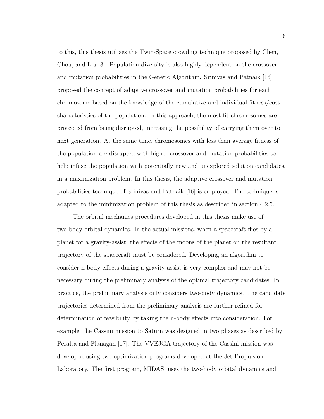to this, this thesis utilizes the Twin-Space crowding technique proposed by Chen, Chou, and Liu [3]. Population diversity is also highly dependent on the crossover and mutation probabilities in the Genetic Algorithm. Srinivas and Patnaik [16] proposed the concept of adaptive crossover and mutation probabilities for each chromosome based on the knowledge of the cumulative and individual fitness/cost characteristics of the population. In this approach, the most fit chromosomes are protected from being disrupted, increasing the possibility of carrying them over to next generation. At the same time, chromosomes with less than average fitness of the population are disrupted with higher crossover and mutation probabilities to help infuse the population with potentially new and unexplored solution candidates, in a maximization problem. In this thesis, the adaptive crossover and mutation probabilities technique of Srinivas and Patnaik [16] is employed. The technique is adapted to the minimization problem of this thesis as described in section 4.2.5.

The orbital mechanics procedures developed in this thesis make use of two-body orbital dynamics. In the actual missions, when a spacecraft flies by a planet for a gravity-assist, the effects of the moons of the planet on the resultant trajectory of the spacecraft must be considered. Developing an algorithm to consider n-body effects during a gravity-assist is very complex and may not be necessary during the preliminary analysis of the optimal trajectory candidates. In practice, the preliminary analysis only considers two-body dynamics. The candidate trajectories determined from the preliminary analysis are further refined for determination of feasibility by taking the n-body effects into consideration. For example, the Cassini mission to Saturn was designed in two phases as described by Peralta and Flanagan [17]. The VVEJGA trajectory of the Cassini mission was developed using two optimization programs developed at the Jet Propulsion Laboratory. The first program, MIDAS, uses the two-body orbital dynamics and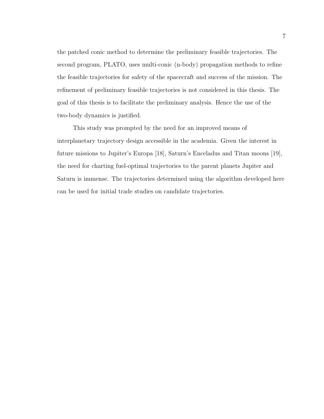the patched conic method to determine the preliminary feasible trajectories. The second program, PLATO, uses multi-conic (n-body) propagation methods to refine the feasible trajectories for safety of the spacecraft and success of the mission. The refinement of preliminary feasible trajectories is not considered in this thesis. The goal of this thesis is to facilitate the preliminary analysis. Hence the use of the two-body dynamics is justified.

This study was prompted by the need for an improved means of interplanetary trajectory design accessible in the academia. Given the interest in future missions to Jupiter's Europa [18], Saturn's Enceladus and Titan moons [19], the need for charting fuel-optimal trajectories to the parent planets Jupiter and Saturn is immense. The trajectories determined using the algorithm developed here can be used for initial trade studies on candidate trajectories.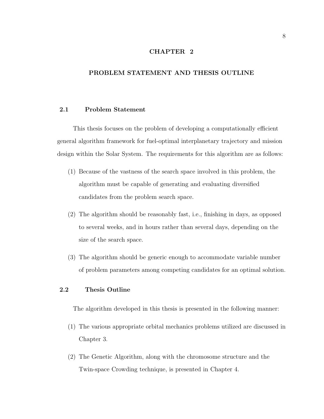#### CHAPTER 2

#### PROBLEM STATEMENT AND THESIS OUTLINE

#### 2.1 Problem Statement

This thesis focuses on the problem of developing a computationally efficient general algorithm framework for fuel-optimal interplanetary trajectory and mission design within the Solar System. The requirements for this algorithm are as follows:

- (1) Because of the vastness of the search space involved in this problem, the algorithm must be capable of generating and evaluating diversified candidates from the problem search space.
- (2) The algorithm should be reasonably fast, i.e., finishing in days, as opposed to several weeks, and in hours rather than several days, depending on the size of the search space.
- (3) The algorithm should be generic enough to accommodate variable number of problem parameters among competing candidates for an optimal solution.

#### 2.2 Thesis Outline

The algorithm developed in this thesis is presented in the following manner:

- (1) The various appropriate orbital mechanics problems utilized are discussed in Chapter 3.
- (2) The Genetic Algorithm, along with the chromosome structure and the Twin-space Crowding technique, is presented in Chapter 4.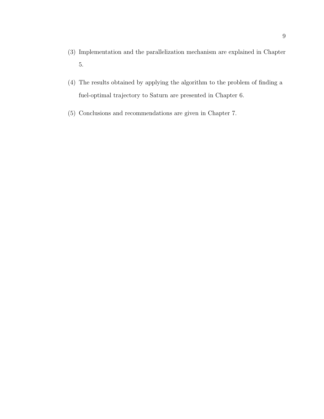- (3) Implementation and the parallelization mechanism are explained in Chapter 5.
- (4) The results obtained by applying the algorithm to the problem of finding a fuel-optimal trajectory to Saturn are presented in Chapter 6.
- (5) Conclusions and recommendations are given in Chapter 7.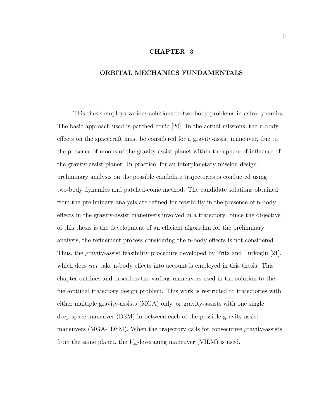#### CHAPTER 3

#### ORBITAL MECHANICS FUNDAMENTALS

This thesis employs various solutions to two-body problems in astrodynamics. The basic approach used is patched-conic [20]. In the actual missions, the n-body effects on the spacecraft must be considered for a gravity-assist maneuver, due to the presence of moons of the gravity-assist planet within the sphere-of-influence of the gravity-assist planet. In practice, for an interplanetary mission design, preliminary analysis on the possible candidate trajectories is conducted using two-body dynamics and patched-conic method. The candidate solutions obtained from the preliminary analysis are refined for feasibility in the presence of n-body effects in the gravity-assist maneuvers involved in a trajectory. Since the objective of this thesis is the development of an efficient algorithm for the preliminary analysis, the refinement process considering the n-body effects is not considered. Thus, the gravity-assist feasibility procedure developed by Fritz and Turkoglu [21], which does *not* take n-body effects into account is employed in this thesis. This chapter outlines and describes the various maneuvers used in the solution to the fuel-optimal trajectory design problem. This work is restricted to trajectories with either multiple gravity-assists (MGA) only, or gravity-assists with one single deep-space maneuver (DSM) in between each of the possible gravity-assist maneuvers (MGA-1DSM). When the trajectory calls for consecutive gravity-assists from the same planet, the  $V_{\infty}$ -leveraging maneuver (VILM) is used.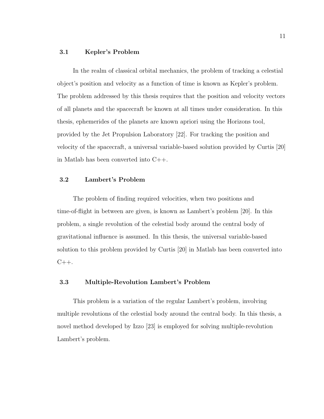#### 3.1 Kepler's Problem

In the realm of classical orbital mechanics, the problem of tracking a celestial object's position and velocity as a function of time is known as Kepler's problem. The problem addressed by this thesis requires that the position and velocity vectors of all planets and the spacecraft be known at all times under consideration. In this thesis, ephemerides of the planets are known apriori using the Horizons tool, provided by the Jet Propulsion Laboratory [22]. For tracking the position and velocity of the spacecraft, a universal variable-based solution provided by Curtis [20] in Matlab has been converted into C++.

#### 3.2 Lambert's Problem

The problem of finding required velocities, when two positions and time-of-flight in between are given, is known as Lambert's problem [20]. In this problem, a single revolution of the celestial body around the central body of gravitational influence is assumed. In this thesis, the universal variable-based solution to this problem provided by Curtis [20] in Matlab has been converted into  $C_{++}$ .

#### 3.3 Multiple-Revolution Lambert's Problem

This problem is a variation of the regular Lambert's problem, involving multiple revolutions of the celestial body around the central body. In this thesis, a novel method developed by Izzo [23] is employed for solving multiple-revolution Lambert's problem.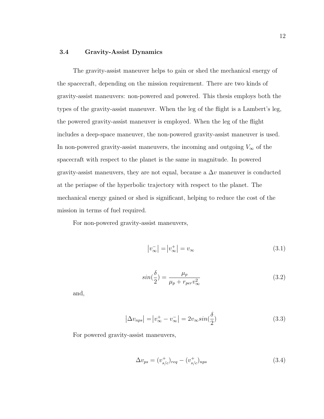#### 3.4 Gravity-Assist Dynamics

The gravity-assist maneuver helps to gain or shed the mechanical energy of the spacecraft, depending on the mission requirement. There are two kinds of gravity-assist maneuvers: non-powered and powered. This thesis employs both the types of the gravity-assist maneuver. When the leg of the flight is a Lambert's leg, the powered gravity-assist maneuver is employed. When the leg of the flight includes a deep-space maneuver, the non-powered gravity-assist maneuver is used. In non-powered gravity-assist maneuvers, the incoming and outgoing  $V_\infty$  of the spacecraft with respect to the planet is the same in magnitude. In powered gravity-assist maneuvers, they are not equal, because a  $\Delta v$  maneuver is conducted at the periapse of the hyperbolic trajectory with respect to the planet. The mechanical energy gained or shed is significant, helping to reduce the cost of the mission in terms of fuel required.

For non-powered gravity-assist maneuvers,

$$
|v_{\infty}^-| = |v_{\infty}^+| = v_{\infty} \tag{3.1}
$$

$$
sin(\frac{\delta}{2}) = \frac{\mu_p}{\mu_p + r_{per} v_{\infty}^2}
$$
\n(3.2)

and,

$$
\left|\Delta v_{nps}\right| = \left|v_{\infty}^{+} - v_{\infty}^{-}\right| = 2v_{\infty}sin(\frac{\delta}{2})\tag{3.3}
$$

For powered gravity-assist maneuvers,

$$
\Delta v_{ps} = (v_{s/c}^{+})_{req} - (v_{s/c}^{+})_{nps}
$$
\n(3.4)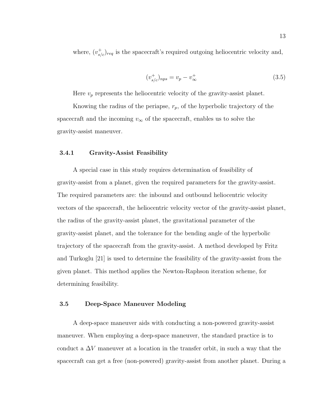where,  $(v_{s/c}^+)_{req}$  is the spacecraft's required outgoing heliocentric velocity and,

$$
(v_{s/c}^{+})_{nps} = v_p - v_{\infty}^{+}
$$
\n(3.5)

Here  $v_p$  represents the heliocentric velocity of the gravity-assist planet.

Knowing the radius of the periapse,  $r_p$ , of the hyperbolic trajectory of the spacecraft and the incoming  $v_{\infty}$  of the spacecraft, enables us to solve the gravity-assist maneuver.

#### 3.4.1 Gravity-Assist Feasibility

A special case in this study requires determination of feasibility of gravity-assist from a planet, given the required parameters for the gravity-assist. The required parameters are: the inbound and outbound heliocentric velocity vectors of the spacecraft, the heliocentric velocity vector of the gravity-assist planet, the radius of the gravity-assist planet, the gravitational parameter of the gravity-assist planet, and the tolerance for the bending angle of the hyperbolic trajectory of the spacecraft from the gravity-assist. A method developed by Fritz and Turkoglu [21] is used to determine the feasibility of the gravity-assist from the given planet. This method applies the Newton-Raphson iteration scheme, for determining feasibility.

#### 3.5 Deep-Space Maneuver Modeling

A deep-space maneuver aids with conducting a non-powered gravity-assist maneuver. When employing a deep-space maneuver, the standard practice is to conduct a  $\Delta V$  maneuver at a location in the transfer orbit, in such a way that the spacecraft can get a free (non-powered) gravity-assist from another planet. During a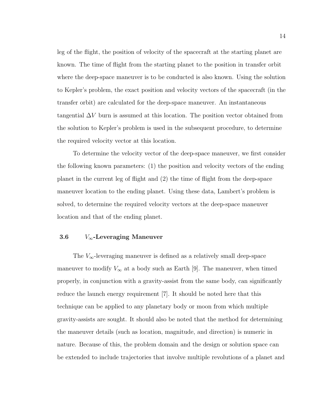leg of the flight, the position of velocity of the spacecraft at the starting planet are known. The time of flight from the starting planet to the position in transfer orbit where the deep-space maneuver is to be conducted is also known. Using the solution to Kepler's problem, the exact position and velocity vectors of the spacecraft (in the transfer orbit) are calculated for the deep-space maneuver. An instantaneous tangential  $\Delta V$  burn is assumed at this location. The position vector obtained from the solution to Kepler's problem is used in the subsequent procedure, to determine the required velocity vector at this location.

To determine the velocity vector of the deep-space maneuver, we first consider the following known parameters: (1) the position and velocity vectors of the ending planet in the current leg of flight and (2) the time of flight from the deep-space maneuver location to the ending planet. Using these data, Lambert's problem is solved, to determine the required velocity vectors at the deep-space maneuver location and that of the ending planet.

#### 3.6  $V_{\infty}$ -Leveraging Maneuver

The  $V_{\infty}$ -leveraging maneuver is defined as a relatively small deep-space maneuver to modify  $V_{\infty}$  at a body such as Earth [9]. The maneuver, when timed properly, in conjunction with a gravity-assist from the same body, can significantly reduce the launch energy requirement [7]. It should be noted here that this technique can be applied to any planetary body or moon from which multiple gravity-assists are sought. It should also be noted that the method for determining the maneuver details (such as location, magnitude, and direction) is numeric in nature. Because of this, the problem domain and the design or solution space can be extended to include trajectories that involve multiple revolutions of a planet and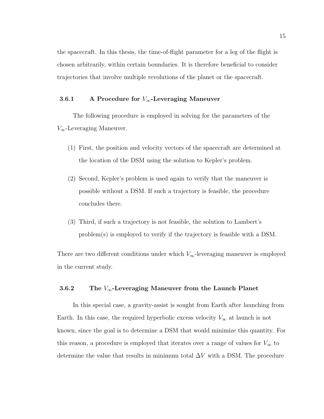the spacecraft. In this thesis, the time-of-flight parameter for a leg of the flight is chosen arbitrarily, within certain boundaries. It is therefore beneficial to consider trajectories that involve multiple revolutions of the planet or the spacecraft.

#### 3.6.1 A Procedure for  $V_{\infty}$ -Leveraging Maneuver

The following procedure is employed in solving for the parameters of the  $V_{\infty}$ -Leveraging Maneuver.

- (1) First, the position and velocity vectors of the spacecraft are determined at the location of the DSM using the solution to Kepler's problem.
- (2) Second, Kepler's problem is used again to verify that the maneuver is possible without a DSM. If such a trajectory is feasible, the procedure concludes there.
- (3) Third, if such a trajectory is not feasible, the solution to Lambert's problem(s) is employed to verify if the trajectory is feasible with a DSM.

There are two different conditions under which  $V_{\infty}$ -leveraging maneuver is employed in the current study.

## 3.6.2 The  $V_\infty$ -Leveraging Maneuver from the Launch Planet

In this special case, a gravity-assist is sought from Earth after launching from Earth. In this case, the required hyperbolic excess velocity  $V_{\infty}$  at launch is not known, since the goal is to determine a DSM that would minimize this quantity. For this reason, a procedure is employed that iterates over a range of values for  $V_{\infty}$  to determine the value that results in minimum total  $\Delta V$  with a DSM. The procedure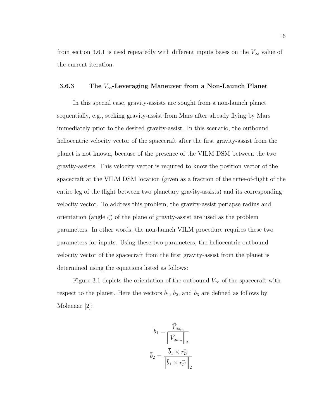from section 3.6.1 is used repeatedly with different inputs bases on the  $V_{\infty}$  value of the current iteration.

## 3.6.3 The  $V_\infty$ -Leveraging Maneuver from a Non-Launch Planet

In this special case, gravity-assists are sought from a non-launch planet sequentially, e.g., seeking gravity-assist from Mars after already flying by Mars immediately prior to the desired gravity-assist. In this scenario, the outbound heliocentric velocity vector of the spacecraft after the first gravity-assist from the planet is not known, because of the presence of the VILM DSM between the two gravity-assists. This velocity vector is required to know the position vector of the spacecraft at the VILM DSM location (given as a fraction of the time-of-flight of the entire leg of the flight between two planetary gravity-assists) and its corresponding velocity vector. To address this problem, the gravity-assist periapse radius and orientation (angle  $\zeta$ ) of the plane of gravity-assist are used as the problem parameters. In other words, the non-launch VILM procedure requires these two parameters for inputs. Using these two parameters, the heliocentric outbound velocity vector of the spacecraft from the first gravity-assist from the planet is determined using the equations listed as follows:

Figure 3.1 depicts the orientation of the outbound  $V_{\infty}$  of the spacecraft with respect to the planet. Here the vectors  $\bar{b}_1$ ,  $\bar{b}_2$ , and  $\bar{b}_3$  are defined as follows by Molenaar [2]:

$$
\overline{b}_1 = \frac{\overrightarrow{V}_{\infty_{in}}}{\left\| \overrightarrow{V}_{\infty_{in}} \right\|_2}
$$

$$
\overline{b}_2 = \frac{\overline{b}_1 \times \overrightarrow{r_{pl}}}{\left\| \overline{b}_1 \times \overrightarrow{r_{pl}} \right\|_2}
$$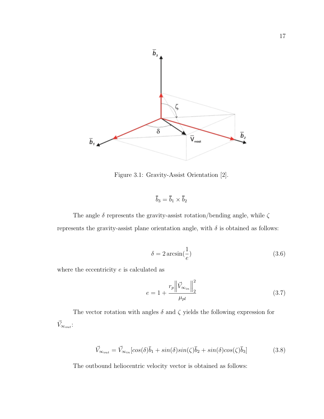

Figure 3.1: Gravity-Assist Orientation [2].

$$
\overline{b}_3 = \overline{b}_1 \times \overline{b}_2
$$

The angle  $\delta$  represents the gravity-assist rotation/bending angle, while  $\zeta$ represents the gravity-assist plane orientation angle, with  $\delta$  is obtained as follows:

$$
\delta = 2\arcsin\left(\frac{1}{e}\right) \tag{3.6}
$$

where the eccentricity  $e$  is calculated as

$$
e = 1 + \frac{r_p \left\| \vec{V}_{\infty_{in}} \right\|_2^2}{\mu_{pl}}
$$
\n(3.7)

The vector rotation with angles  $\delta$  and  $\zeta$  yields the following expression for  $\vec{V}_{\infty_{out}}$  :

$$
\vec{V}_{\infty_{out}} = \vec{V}_{\infty_{in}}[cos(\delta)\bar{b}_1 + sin(\delta)sin(\zeta)\bar{b}_2 + sin(\delta)cos(\zeta)\bar{b}_3]
$$
(3.8)

The outbound heliocentric velocity vector is obtained as follows: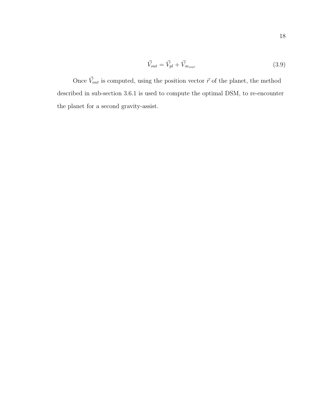$$
\vec{V}_{out} = \vec{V}_{pl} + \vec{V}_{\infty_{out}} \tag{3.9}
$$

Once  $\vec{V}_{out}$  is computed, using the position vector  $\vec{r}$  of the planet, the method described in sub-section 3.6.1 is used to compute the optimal DSM, to re-encounter the planet for a second gravity-assist.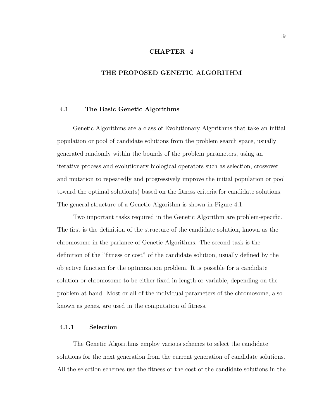#### CHAPTER 4

#### THE PROPOSED GENETIC ALGORITHM

#### 4.1 The Basic Genetic Algorithms

Genetic Algorithms are a class of Evolutionary Algorithms that take an initial population or pool of candidate solutions from the problem search space, usually generated randomly within the bounds of the problem parameters, using an iterative process and evolutionary biological operators such as selection, crossover and mutation to repeatedly and progressively improve the initial population or pool toward the optimal solution(s) based on the fitness criteria for candidate solutions. The general structure of a Genetic Algorithm is shown in Figure 4.1.

Two important tasks required in the Genetic Algorithm are problem-specific. The first is the definition of the structure of the candidate solution, known as the chromosome in the parlance of Genetic Algorithms. The second task is the definition of the "fitness or cost" of the candidate solution, usually defined by the objective function for the optimization problem. It is possible for a candidate solution or chromosome to be either fixed in length or variable, depending on the problem at hand. Most or all of the individual parameters of the chromosome, also known as genes, are used in the computation of fitness.

#### 4.1.1 Selection

The Genetic Algorithms employ various schemes to select the candidate solutions for the next generation from the current generation of candidate solutions. All the selection schemes use the fitness or the cost of the candidate solutions in the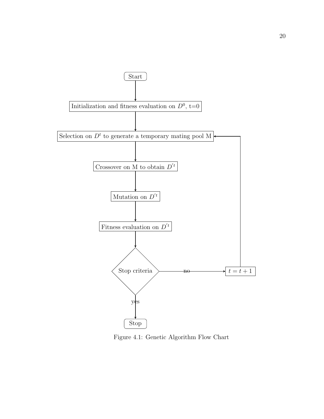

Figure 4.1: Genetic Algorithm Flow Chart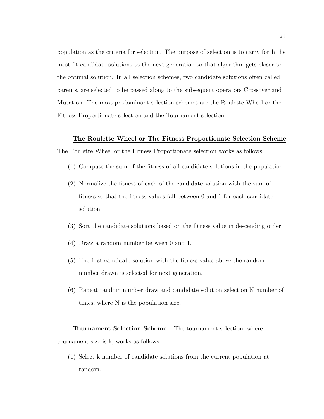population as the criteria for selection. The purpose of selection is to carry forth the most fit candidate solutions to the next generation so that algorithm gets closer to the optimal solution. In all selection schemes, two candidate solutions often called parents, are selected to be passed along to the subsequent operators Crossover and Mutation. The most predominant selection schemes are the Roulette Wheel or the Fitness Proportionate selection and the Tournament selection.

#### The Roulette Wheel or The Fitness Proportionate Selection Scheme

The Roulette Wheel or the Fitness Proportionate selection works as follows:

- (1) Compute the sum of the fitness of all candidate solutions in the population.
- (2) Normalize the fitness of each of the candidate solution with the sum of fitness so that the fitness values fall between 0 and 1 for each candidate solution.
- (3) Sort the candidate solutions based on the fitness value in descending order.
- (4) Draw a random number between 0 and 1.
- (5) The first candidate solution with the fitness value above the random number drawn is selected for next generation.
- (6) Repeat random number draw and candidate solution selection N number of times, where N is the population size.

# Tournament Selection Scheme The tournament selection, where tournament size is k, works as follows:

(1) Select k number of candidate solutions from the current population at random.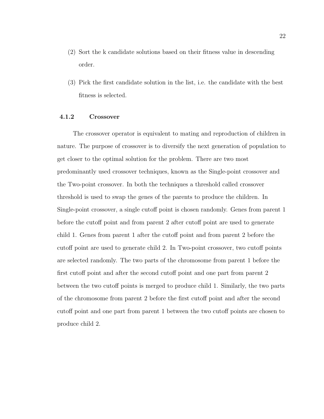- (2) Sort the k candidate solutions based on their fitness value in descending order.
- (3) Pick the first candidate solution in the list, i.e. the candidate with the best fitness is selected.

#### 4.1.2 Crossover

The crossover operator is equivalent to mating and reproduction of children in nature. The purpose of crossover is to diversify the next generation of population to get closer to the optimal solution for the problem. There are two most predominantly used crossover techniques, known as the Single-point crossover and the Two-point crossover. In both the techniques a threshold called crossover threshold is used to swap the genes of the parents to produce the children. In Single-point crossover, a single cutoff point is chosen randomly. Genes from parent 1 before the cutoff point and from parent 2 after cutoff point are used to generate child 1. Genes from parent 1 after the cutoff point and from parent 2 before the cutoff point are used to generate child 2. In Two-point crossover, two cutoff points are selected randomly. The two parts of the chromosome from parent 1 before the first cutoff point and after the second cutoff point and one part from parent 2 between the two cutoff points is merged to produce child 1. Similarly, the two parts of the chromosome from parent 2 before the first cutoff point and after the second cutoff point and one part from parent 1 between the two cutoff points are chosen to produce child 2.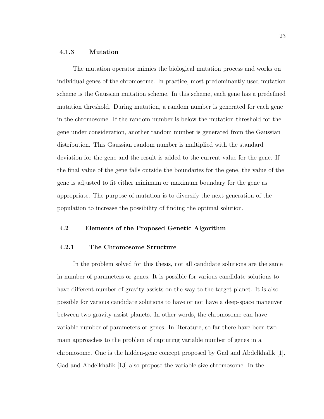#### 4.1.3 Mutation

The mutation operator mimics the biological mutation process and works on individual genes of the chromosome. In practice, most predominantly used mutation scheme is the Gaussian mutation scheme. In this scheme, each gene has a predefined mutation threshold. During mutation, a random number is generated for each gene in the chromosome. If the random number is below the mutation threshold for the gene under consideration, another random number is generated from the Gaussian distribution. This Gaussian random number is multiplied with the standard deviation for the gene and the result is added to the current value for the gene. If the final value of the gene falls outside the boundaries for the gene, the value of the gene is adjusted to fit either minimum or maximum boundary for the gene as appropriate. The purpose of mutation is to diversify the next generation of the population to increase the possibility of finding the optimal solution.

#### 4.2 Elements of the Proposed Genetic Algorithm

#### 4.2.1 The Chromosome Structure

In the problem solved for this thesis, not all candidate solutions are the same in number of parameters or genes. It is possible for various candidate solutions to have different number of gravity-assists on the way to the target planet. It is also possible for various candidate solutions to have or not have a deep-space maneuver between two gravity-assist planets. In other words, the chromosome can have variable number of parameters or genes. In literature, so far there have been two main approaches to the problem of capturing variable number of genes in a chromosome. One is the hidden-gene concept proposed by Gad and Abdelkhalik [1]. Gad and Abdelkhalik [13] also propose the variable-size chromosome. In the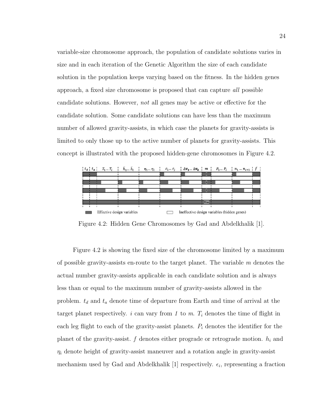variable-size chromosome approach, the population of candidate solutions varies in size and in each iteration of the Genetic Algorithm the size of each candidate solution in the population keeps varying based on the fitness. In the hidden genes approach, a fixed size chromosome is proposed that can capture all possible candidate solutions. However, not all genes may be active or effective for the candidate solution. Some candidate solutions can have less than the maximum number of allowed gravity-assists, in which case the planets for gravity-assists is limited to only those up to the active number of planets for gravity-assists. This concept is illustrated with the proposed hidden-gene chromosomes in Figure 4.2.



Figure 4.2: Hidden Gene Chromosomes by Gad and Abdelkhalik [1].

Figure 4.2 is showing the fixed size of the chromosome limited by a maximum of possible gravity-assists en-route to the target planet. The variable  $m$  denotes the actual number gravity-assists applicable in each candidate solution and is always less than or equal to the maximum number of gravity-assists allowed in the problem.  $t_d$  and  $t_a$  denote time of departure from Earth and time of arrival at the target planet respectively. i can vary from 1 to m.  $T_i$  denotes the time of flight in each leg flight to each of the gravity-assist planets.  $P_i$  denotes the identifier for the planet of the gravity-assist.  $f$  denotes either prograde or retrograde motion.  $h_i$  and  $\eta_i$  denote height of gravity-assist maneuver and a rotation angle in gravity-assist mechanism used by Gad and Abdelkhalik [1] respectively.  $\epsilon_i$ , representing a fraction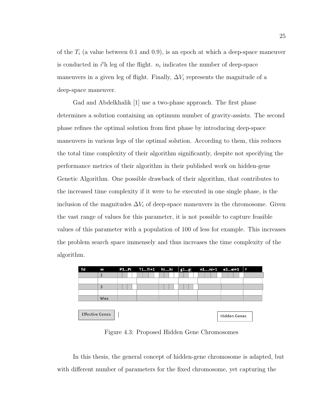of the  $T_i$  (a value between 0.1 and 0.9), is an epoch at which a deep-space maneuver is conducted in  $i^{\text{th}}$  leg of the flight.  $n_i$  indicates the number of deep-space maneuvers in a given leg of flight. Finally,  $\Delta V_i$  represents the magnitude of a deep-space maneuver.

Gad and Abdelkhalik [1] use a two-phase approach. The first phase determines a solution containing an optimum number of gravity-assists. The second phase refines the optimal solution from first phase by introducing deep-space maneuvers in various legs of the optimal solution. According to them, this reduces the total time complexity of their algorithm significantly, despite not specifying the performance metrics of their algorithm in their published work on hidden-gene Genetic Algorithm. One possible drawback of their algorithm, that contributes to the increased time complexity if it were to be executed in one single phase, is the inclusion of the magnitudes  $\Delta V_i$  of deep-space maneuvers in the chromosome. Given the vast range of values for this parameter, it is not possible to capture feasible values of this parameter with a population of 100 of less for example. This increases the problem search space immensely and thus increases the time complexity of the algorithm.

| Td | m                                             |  | P1Pi T1Ti+1 hihi |  | g1gi | n1ni+1 e1ei+1 f |  |  |
|----|-----------------------------------------------|--|------------------|--|------|-----------------|--|--|
|    |                                               |  |                  |  |      |                 |  |  |
|    |                                               |  |                  |  |      |                 |  |  |
|    | 3                                             |  |                  |  |      |                 |  |  |
|    |                                               |  |                  |  |      |                 |  |  |
|    | Max                                           |  |                  |  |      |                 |  |  |
|    |                                               |  |                  |  |      |                 |  |  |
|    |                                               |  |                  |  |      |                 |  |  |
|    | <b>Effective Genes</b><br><b>Hidden Genes</b> |  |                  |  |      |                 |  |  |

Figure 4.3: Proposed Hidden Gene Chromosomes

In this thesis, the general concept of hidden-gene chromosome is adapted, but with different number of parameters for the fixed chromosome, yet capturing the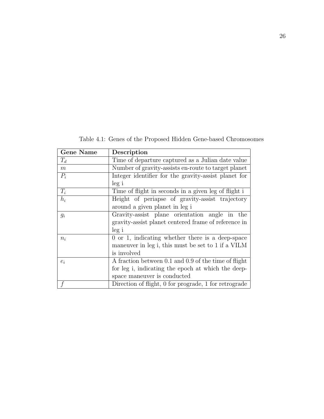Gene Name Description  $T_d$  Time of departure captured as a Julian date value  $m$  Number of gravity-assists en-route to target planet  $P_i$  Integer identifier for the gravity-assist planet for leg i  $T_i$  Time of flight in seconds in a given leg of flight i  $h_i$  Height of periapse of gravity-assist trajectory around a given planet in leg i  $g_i$  Gravity-assist plane orientation angle in the gravity-assist planet centered frame of reference in leg i  $n_i$  0 or 1, indicating whether there is a deep-space maneuver in leg i, this must be set to 1 if a VILM is involved  $e_i$  A fraction between 0.1 and 0.9 of the time of flight for leg i, indicating the epoch at which the deepspace maneuver is conducted f Direction of flight, 0 for prograde, 1 for retrograde

Table 4.1: Genes of the Proposed Hidden Gene-based Chromosomes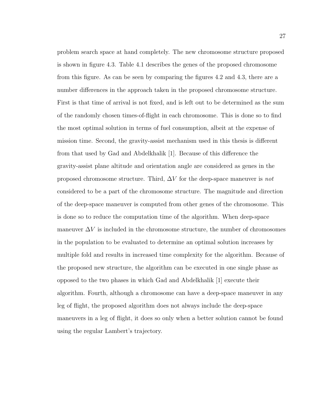problem search space at hand completely. The new chromosome structure proposed is shown in figure 4.3. Table 4.1 describes the genes of the proposed chromosome from this figure. As can be seen by comparing the figures 4.2 and 4.3, there are a number differences in the approach taken in the proposed chromosome structure. First is that time of arrival is not fixed, and is left out to be determined as the sum of the randomly chosen times-of-flight in each chromosome. This is done so to find the most optimal solution in terms of fuel consumption, albeit at the expense of mission time. Second, the gravity-assist mechanism used in this thesis is different from that used by Gad and Abdelkhalik [1]. Because of this difference the gravity-assist plane altitude and orientation angle are considered as genes in the proposed chromosome structure. Third,  $\Delta V$  for the deep-space maneuver is not considered to be a part of the chromosome structure. The magnitude and direction of the deep-space maneuver is computed from other genes of the chromosome. This is done so to reduce the computation time of the algorithm. When deep-space maneuver  $\Delta V$  is included in the chromosome structure, the number of chromosomes in the population to be evaluated to determine an optimal solution increases by multiple fold and results in increased time complexity for the algorithm. Because of the proposed new structure, the algorithm can be executed in one single phase as opposed to the two phases in which Gad and Abdelkhalik [1] execute their algorithm. Fourth, although a chromosome can have a deep-space maneuver in any leg of flight, the proposed algorithm does not always include the deep-space maneuvers in a leg of flight, it does so only when a better solution cannot be found using the regular Lambert's trajectory.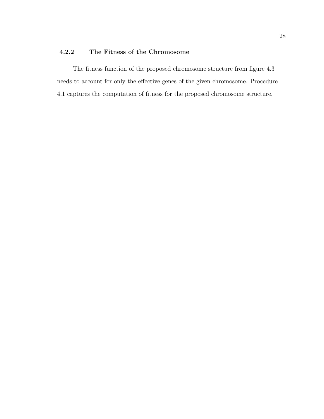## 4.2.2 The Fitness of the Chromosome

The fitness function of the proposed chromosome structure from figure 4.3 needs to account for only the effective genes of the given chromosome. Procedure 4.1 captures the computation of fitness for the proposed chromosome structure.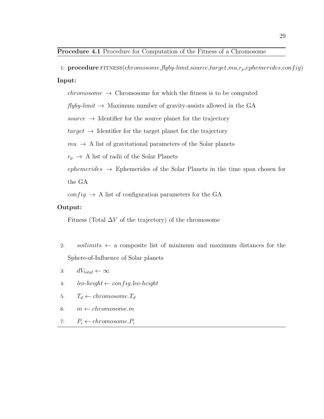1:  $procedure$  FITNESS(chromosome, flyby-limit, source, target,  $mu, r_p, ephemerides, config)$ Input:

 $chromosome \rightarrow Chromosome$  for which the fitness is to be computed

 $flyby-limit \rightarrow Maximum$  number of gravity-assists allowed in the GA

source  $\rightarrow$  Identifier for the source planet for the trajectory

 $target \rightarrow$  Identifier for the target planet for the trajectory

 $mu \rightarrow A$  list of gravitational parameters of the Solar planets

 $r_p \rightarrow A$  list of radii of the Solar Planets

 $ephemerides \rightarrow Ephemerides$  of the Solar Planets in the time span chosen for

the GA

 $config \rightarrow A$  list of configuration parameters for the GA

#### Output:

Fitness (Total  $\Delta V$  of the trajectory) of the chromosome

- 2: soilimits  $\leftarrow$  a composite list of minimum and maximum distances for the Sphere-of-Influence of Solar planets
- 3:  $dV_{total} \leftarrow \infty$
- 4:  $leo-height \leftarrow config. leo-height$
- 5:  $T_d \leftarrow chromosome.T_d$
- 6:  $m \leftarrow chromosome.m$
- 7:  $P_i \leftarrow chromosome.P_i$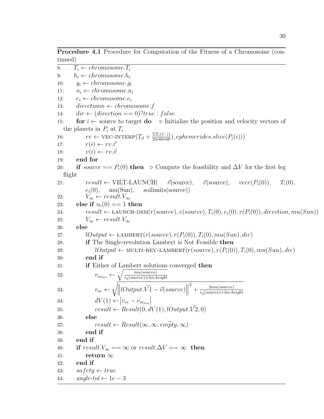8:  $T_i \leftarrow chromosome.T_i$ 9:  $h_i \leftarrow chromosome.h_i$ 10:  $q_i \leftarrow chromosome.q_i$ 11:  $n_i \leftarrow chromosome.n_i$ 12:  $e_i \leftarrow chromosome.e_i$ 13: directionn  $\leftarrow$  chromosome. f 14:  $\operatorname{dir} \leftarrow (\operatorname{direction} == 0) ? \operatorname{true} : \operatorname{false}$ 15: **for**  $i \leftarrow$  source to target **do**  $\triangleright$  Initialize the position and velocity vectors of the planets in  $P_i$  at  $T_i$ 16:  $rv \leftarrow \text{VEC-INTERP}(T_d + \frac{\Sigma T_i(1:i)}{24*60*60}), ephemerides slice(P_i(i)))$ 17:  $r(i) \leftarrow rv.\vec{r}$ 18:  $v(i) \leftarrow rv \cdot \vec{v}$ 19: end for 20: if source ==  $P_i(0)$  then  $\triangleright$  Compute the feasibility and  $\Delta V$  for the first leg flight 21:  $result \leftarrow \text{VILT-LAUNCH}$   $\vec{r}(\text{source}), \quad \vec{v}(\text{source}), \quad vecr(P_i(0)), \quad T_i(0),$  $e_i(0)$ , mu(Sun), soilimits(source)) 22:  $V_{\infty} \leftarrow \text{result.} V_{\infty}$ 23: else if  $n_i(0) == 1$  then 24:  $result \leftarrow \text{LAUNCH-DSM}(r(source), v(source), T_i(0), e_i(0), r(P_i(0)), direction, mu(Sun))$ 25:  $V_{\infty} \leftarrow \text{result.} V_{\infty}$ 26: else 27:  $lOutput \leftarrow \text{LAMBERT}(r(source), r(P_i(0)), T_i(0), mu(Sun), dir)$ 28: if The Single-revolution Lambert is Not Feasible then 29:  $lOutput \leftarrow \text{MULTI-REV-LAMBERT}(r(source), r(P_i(0)), T_i(0), m u(Sun), dir)$ 30: end if 31: if Either of Lambert solutions converged then 32:  $v_{\text{sc}_{\text{leo}}} \leftarrow \sqrt{\frac{mu(\text{source})}{r_n(\text{source}) + \text{leo} + \text{let}} }$  $r_p(source)+leo\text{-}height$ 33:  $v_{sc} \leftarrow \sqrt{\left\|lOutput \cdot \vec{V1} - \vec{v}(source)\right\|}$  $+\frac{2mu(source)}{r(source)+lech}$  $r_p(source)+leo\text{-}height$ 34:  $dV(1) \leftarrow |v_{sc} - v_{s_{cleo}}|$ 35:  $result \leftarrow Result(0, dV(1), lOutput. V2, 0)$ 36: else 37:  $result \leftarrow Result(\infty, \infty, emity, \infty)$ 38: end if 39: end if 40: if  $result.V_{\infty} == \infty$  or  $result.\Delta V == \infty$  then 41: return  $\infty$ 42: end if 43:  $safety \leftarrow true$ 44:  $angle-tol \leftarrow 1e-3$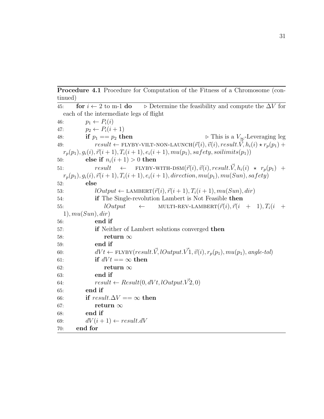Procedure 4.1 Procedure for Computation of the Fitness of a Chromosome (continued)

45: for  $i \leftarrow 2$  to m-1 do  $\Rightarrow$  Determine the feasibility and compute the  $\Delta V$  for each of the intermediate legs of flight 46:  $p_1 \leftarrow P_i(i)$ 47:  $p_2 \leftarrow P_i(i+1)$ 48: if  $p_1 == p_2$  then  $\triangleright$  This is a  $V_{\infty}$ -Leveraging leg 49:  $result \leftarrow \text{FLYBY-VILT-NON-LAUNCH}(\vec{r}(i), \vec{v}(i), result. \vec{V}, h_i(i) \star r_p(p_1) +$  $r_p(p_1), g_i(i), \vec{r}(i+1), T_i(i+1), e_i(i+1), m u(p_1),$  safety, soilimits(p<sub>1</sub>)) 50: else if  $n_i(i+1) > 0$  then 51:  $result \leftarrow \text{FLYBY-WITH-DSM}(\vec{r}(i), \vec{v}(i), result. \vec{V}, h_i(i) \star r_p(p_1) +$  $r_p(p_1), g_i(i), \vec{r}(i + 1), T_i(i + 1), e_i(i + 1),$  direction,  $mu(p_1), mu(Sun),$  safety) 52: else 53:  $lOutput \leftarrow \text{LAMBERT}(\vec{r}(i), \vec{r}(i+1), T_i(i+1), m u(Sun), dir)$ 54: if The Single-revolution Lambert is Not Feasible then 55:  $lOutput \leftarrow \text{MULTI-REV-LAMBERT}(\vec{r}(i), \vec{r}(i + 1), T_i(i +$  $1), \, mu(Sun), dir)$ 56: end if 57: if Neither of Lambert solutions converged then  $58:$  return  $\infty$ 59: end if 60:  $dVt \leftarrow \text{FLYBY}(result.\vec{V}, lOutput.\vec{V1}, \vec{v}(i), r_p(p_1), mu(p_1), angle-tol)$ 61: if  $dVt = \infty$  then 62: return  $\infty$ 63: end if 64:  $result \leftarrow Result(0, dVt, lOutput. V^2, 0)$ 65: end if 66: if  $result.\Delta V = \infty$  then 67: return  $\infty$ 68: end if 69:  $dV(i+1) \leftarrow result.dV$ 70: end for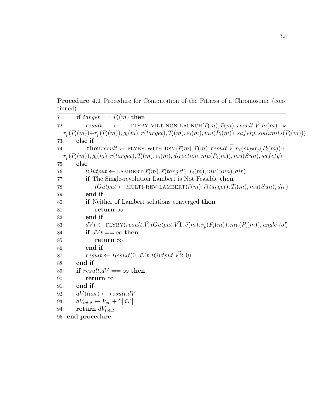Procedure 4.1 Procedure for Computation of the Fitness of a Chromosome (continued)

| 71: | if $target == P_i(m)$ then                                                                                                                 |
|-----|--------------------------------------------------------------------------------------------------------------------------------------------|
| 72: | $result \leftarrow \text{FLYBY-VILT-NON-LAUNCH}(\vec{r}(m), \vec{v}(m), result.\vec{V}, h_i(m) \star$                                      |
|     | $r_p(P_i(m)) + r_p(P_i(m)), g_i(m), \vec{r}(target), T_i(m), e_i(m), \text{nu}(P_i(m)), \text{safe}$<br>$ty, \text{so}$ limits $(P_i(m)))$ |
| 73: | else if                                                                                                                                    |
| 74: | <b>then</b> result $\leftarrow$ FLYBY-WITH-DSM $(\vec{r}(m), \vec{v}(m), \text{result.}\vec{V}, h_i(m)\star r_p(P_i(m)) +$                 |
|     | $r_p(P_i(m)), g_i(m), \vec{r}(target), T_i(m), e_i(m), direction, mu(P_i(m)), mu(Sun), safety)$                                            |
| 75: | else                                                                                                                                       |
| 76: | $lOutput \leftarrow \text{LAMBERT}(\vec{r}(m), \vec{r}(target), T_i(m), mu(Sun), dir)$                                                     |
| 77: | if The Single-revolution Lambert is Not Feasible then                                                                                      |
| 78: | $lOutput \leftarrow \text{MULTI-REV-LAMBERT}(\vec{r}(m), \vec{r}(target), T_i(m), \textit{mu}(Sun), \textit{dir})$                         |
| 79: | end if                                                                                                                                     |
| 80: | <b>if</b> Neither of Lambert solutions converged then                                                                                      |
| 81: | return $\infty$                                                                                                                            |
| 82: | end if                                                                                                                                     |
| 83: | $dVt \leftarrow \text{FLYBY}(result.\vec{V}, lOutput.\vec{V1}, \vec{v}(m), r_p(P_i(m)), mu(P_i(m)), angle-tol)$                            |
| 84: | if $dVt == \infty$ then                                                                                                                    |
| 85: | return $\infty$                                                                                                                            |
| 86: | end if                                                                                                                                     |
| 87: | $result \leftarrow Result(0, dVt, lOutput. V2, 0)$                                                                                         |
| 88: | end if                                                                                                                                     |
| 89: | if result.dV == $\infty$ then                                                                                                              |
| 90: | return $\infty$                                                                                                                            |
| 91: | end if                                                                                                                                     |
| 92: | $dVlast \rightarrow result.dV$                                                                                                             |
| 93: | $dV_{total} \leftarrow V_{\infty} + \Sigma dV$                                                                                             |
| 94: | return $dV_{total}$                                                                                                                        |
|     | 95: end procedure                                                                                                                          |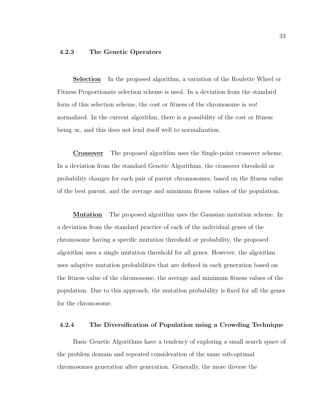## 4.2.3 The Genetic Operators

Selection In the proposed algorithm, a variation of the Roulette Wheel or Fitness Proportionate selection scheme is used. In a deviation from the standard form of this selection scheme, the cost or fitness of the chromosome is not normalized. In the current algorithm, there is a possibility of the cost or fitness being  $\infty$ , and this does not lend itself well to normalization.

Crossover The proposed algorithm uses the Single-point crossover scheme. In a deviation from the standard Genetic Algorithms, the crossover threshold or probability changes for each pair of parent chromosomes, based on the fitness value of the best parent, and the average and minimum fitness values of the population.

**Mutation** The proposed algorithm uses the Gaussian mutation scheme. In a deviation from the standard practice of each of the individual genes of the chromosome having a specific mutation threshold or probability, the proposed algorithm uses a single mutation threshold for all genes. However, the algorithm uses adaptive mutation probabilities that are defined in each generation based on the fitness value of the chromosome, the average and minimum fitness values of the population. Due to this approach, the mutation probability is fixed for all the genes for the chromosome.

## 4.2.4 The Diversification of Population using a Crowding Technique

Basic Genetic Algorithms have a tendency of exploring a small search space of the problem domain and repeated consideration of the same sub-optimal chromosomes generation after generation. Generally, the more diverse the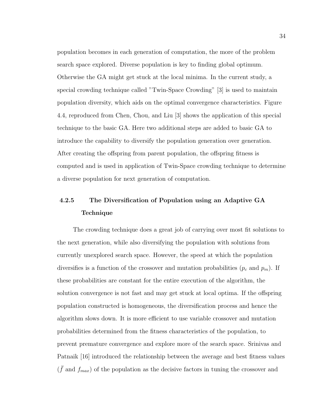population becomes in each generation of computation, the more of the problem search space explored. Diverse population is key to finding global optimum. Otherwise the GA might get stuck at the local minima. In the current study, a special crowding technique called "Twin-Space Crowding" [3] is used to maintain population diversity, which aids on the optimal convergence characteristics. Figure 4.4, reproduced from Chen, Chou, and Liu [3] shows the application of this special technique to the basic GA. Here two additional steps are added to basic GA to introduce the capability to diversify the population generation over generation. After creating the offspring from parent population, the offspring fitness is computed and is used in application of Twin-Space crowding technique to determine a diverse population for next generation of computation.

# 4.2.5 The Diversification of Population using an Adaptive GA Technique

The crowding technique does a great job of carrying over most fit solutions to the next generation, while also diversifying the population with solutions from currently unexplored search space. However, the speed at which the population diversifies is a function of the crossover and mutation probabilities  $(p_c \text{ and } p_m)$ . If these probabilities are constant for the entire execution of the algorithm, the solution convergence is not fast and may get stuck at local optima. If the offspring population constructed is homogeneous, the diversification process and hence the algorithm slows down. It is more efficient to use variable crossover and mutation probabilities determined from the fitness characteristics of the population, to prevent premature convergence and explore more of the search space. Srinivas and Patnaik [16] introduced the relationship between the average and best fitness values  $(\bar{f}$  and  $f_{max})$  of the population as the decisive factors in tuning the crossover and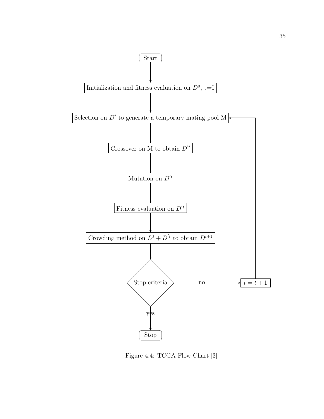

Figure 4.4: TCGA Flow Chart [3]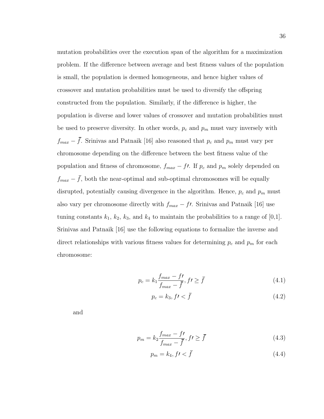mutation probabilities over the execution span of the algorithm for a maximization problem. If the difference between average and best fitness values of the population is small, the population is deemed homogeneous, and hence higher values of crossover and mutation probabilities must be used to diversify the offspring constructed from the population. Similarly, if the difference is higher, the population is diverse and lower values of crossover and mutation probabilities must be used to preserve diversity. In other words,  $p_c$  and  $p_m$  must vary inversely with  $f_{max} - \bar{f}$ . Srinivas and Patnaik [16] also reasoned that  $p_c$  and  $p_m$  must vary per chromosome depending on the difference between the best fitness value of the population and fitness of chromosome,  $f_{max} - ft$ . If  $p_c$  and  $p_m$  solely depended on  $f_{max} - \bar{f}$ , both the near-optimal and sub-optimal chromosomes will be equally disrupted, potentially causing divergence in the algorithm. Hence,  $p_c$  and  $p_m$  must also vary per chromosome directly with  $f_{max} - ft$ . Srinivas and Patnaik [16] use tuning constants  $k_1$ ,  $k_2$ ,  $k_3$ , and  $k_4$  to maintain the probabilities to a range of [0,1]. Srinivas and Patnaik [16] use the following equations to formalize the inverse and direct relationships with various fitness values for determining  $p_c$  and  $p_m$  for each chromosome:

$$
p_c = k_1 \frac{f_{max} - f}{f_{max} - \bar{f}}, \, f \ge \bar{f} \tag{4.1}
$$

$$
p_c = k_3, ft < \bar{f} \tag{4.2}
$$

and

$$
p_m = k_2 \frac{f_{max} - f}{f_{max} - \bar{f}}, \, f \ge \bar{f} \tag{4.3}
$$

$$
p_m = k_4, f' < \bar{f} \tag{4.4}
$$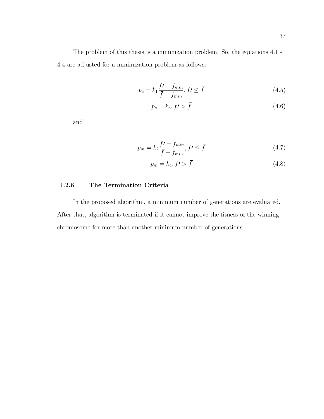The problem of this thesis is a minimization problem. So, the equations 4.1 - 4.4 are adjusted for a minimization problem as follows:

$$
p_c = k_1 \frac{f\prime - f_{min}}{\bar{f} - f_{min}}, f\prime \le \bar{f}
$$
\n
$$
(4.5)
$$

$$
p_c = k_3, f \cdot \overline{f} \tag{4.6}
$$

and

$$
p_m = k_2 \frac{f\prime - f_{min}}{\bar{f} - f_{min}}, \quad f \le \bar{f} \tag{4.7}
$$

$$
p_m = k_4, f \cdot \overline{f} \tag{4.8}
$$

## 4.2.6 The Termination Criteria

In the proposed algorithm, a minimum number of generations are evaluated. After that, algorithm is terminated if it cannot improve the fitness of the winning chromosome for more than another minimum number of generations.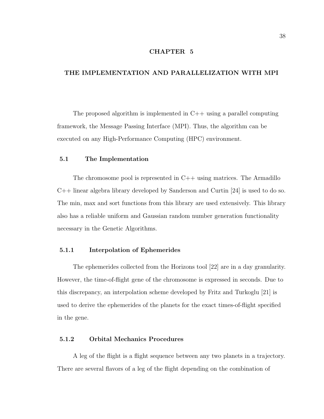## CHAPTER 5

## THE IMPLEMENTATION AND PARALLELIZATION WITH MPI

The proposed algorithm is implemented in  $C++$  using a parallel computing framework, the Message Passing Interface (MPI). Thus, the algorithm can be executed on any High-Performance Computing (HPC) environment.

#### 5.1 The Implementation

The chromosome pool is represented in  $C++$  using matrices. The Armadillo C++ linear algebra library developed by Sanderson and Curtin [24] is used to do so. The min, max and sort functions from this library are used extensively. This library also has a reliable uniform and Gaussian random number generation functionality necessary in the Genetic Algorithms.

## 5.1.1 Interpolation of Ephemerides

The ephemerides collected from the Horizons tool [22] are in a day granularity. However, the time-of-flight gene of the chromosome is expressed in seconds. Due to this discrepancy, an interpolation scheme developed by Fritz and Turkoglu [21] is used to derive the ephemerides of the planets for the exact times-of-flight specified in the gene.

#### 5.1.2 Orbital Mechanics Procedures

A leg of the flight is a flight sequence between any two planets in a trajectory. There are several flavors of a leg of the flight depending on the combination of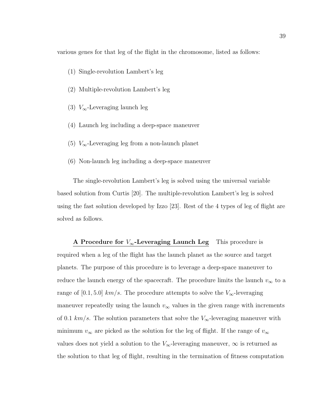various genes for that leg of the flight in the chromosome, listed as follows:

- (1) Single-revolution Lambert's leg
- (2) Multiple-revolution Lambert's leg
- (3)  $V_{\infty}$ -Leveraging launch leg
- (4) Launch leg including a deep-space maneuver
- (5)  $V_{\infty}$ -Leveraging leg from a non-launch planet
- (6) Non-launch leg including a deep-space maneuver

The single-revolution Lambert's leg is solved using the universal variable based solution from Curtis [20]. The multiple-revolution Lambert's leg is solved using the fast solution developed by Izzo [23]. Rest of the 4 types of leg of flight are solved as follows.

A Procedure for  $V_{\infty}$ -Leveraging Launch Leg This procedure is required when a leg of the flight has the launch planet as the source and target planets. The purpose of this procedure is to leverage a deep-space maneuver to reduce the launch energy of the spacecraft. The procedure limits the launch  $v_{\infty}$  to a range of [0.1, 5.0]  $km/s$ . The procedure attempts to solve the  $V_{\infty}$ -leveraging maneuver repeatedly using the launch  $v_{\infty}$  values in the given range with increments of 0.1  $km/s$ . The solution parameters that solve the  $V_{\infty}$ -leveraging maneuver with minimum  $v_{\infty}$  are picked as the solution for the leg of flight. If the range of  $v_{\infty}$ values does not yield a solution to the  $V_{\infty}$ -leveraging maneuver,  $\infty$  is returned as the solution to that leg of flight, resulting in the termination of fitness computation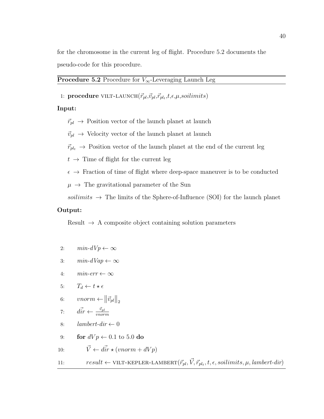for the chromosome in the current leg of flight. Procedure 5.2 documents the pseudo-code for this procedure.

## **Procedure 5.2** Procedure for  $V_{\infty}$ -Leveraging Launch Leg

1: procedure VILT-LAUNCH $(\vec{r}_{pl}, \vec{v}_{pl}, \vec{r}_{pl_t}, t, \epsilon, \mu, soilimits)$ 

#### Input:

 $\vec{r}_{pl}$   $\;\rightarrow$  Position vector of the launch planet at launch

 $\vec{v}_{pl} \rightarrow$  Velocity vector of the launch planet at launch

 $\vec{r}_{pl_t} \rightarrow$  Position vector of the launch planet at the end of the current leg

 $t \rightarrow$  Time of flight for the current leg

 $\epsilon \rightarrow$  Fraction of time of flight where deep-space maneuver is to be conducted

 $\mu \rightarrow$  The gravitational parameter of the Sun

soilimits  $\rightarrow$  The limits of the Sphere-of-Influence (SOI) for the launch planet

## Output:

Result  $\rightarrow$  A composite object containing solution parameters

- 2:  $min-dVp \leftarrow \infty$
- 3:  $min-dVap \leftarrow \infty$
- 4:  $min-err \leftarrow \infty$

5: 
$$
T_d \leftarrow t \star \epsilon
$$

$$
6: \qquad vnorm \leftarrow ||\vec{v}_{pl}||_2
$$

7: 
$$
\vec{dir} \leftarrow \frac{\vec{v}_{pl}}{vnorm}
$$

- 8:  $lambert-dir \leftarrow 0$
- 9: for  $dV p \leftarrow 0.1$  to 5.0 do

10: 
$$
\vec{V} \leftarrow d\vec{ir} \star (vnorm + dVp)
$$

11: 
$$
result \leftarrow \text{VILT-KEPLER-LAMBERT}(\vec{r}_{pl}, \vec{V}, \vec{r}_{pl_t}, t, \epsilon, soilimits, \mu, lambert-dir)
$$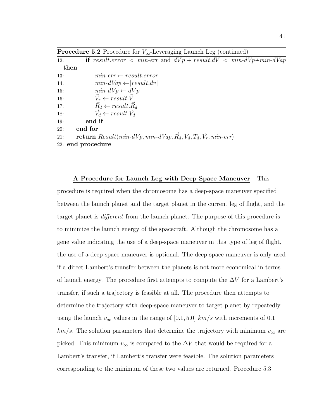| <b>Procedure 5.2</b> Procedure for $V_{\infty}$ -Leveraging Launch Leg (continued) |  |  |  |  |
|------------------------------------------------------------------------------------|--|--|--|--|
|------------------------------------------------------------------------------------|--|--|--|--|

| 12:        | if result.error $\langle$ min-err and $dVp + result dV \langle$ min- $dVp + min-dVap$    |  |  |  |
|------------|------------------------------------------------------------------------------------------|--|--|--|
|            | then                                                                                     |  |  |  |
| <b>13:</b> | $min-err \leftarrow result_error$                                                        |  |  |  |
| 14:        | $min-dVap \leftarrow  result.dv $                                                        |  |  |  |
| <b>15:</b> | $min-dVp \leftarrow dVp$                                                                 |  |  |  |
| <b>16:</b> | $\vec{V_r} \leftarrow result.\vec{V}$                                                    |  |  |  |
| 17:        | $\vec{R}_d \leftarrow result. \vec{R}_d$                                                 |  |  |  |
| 18:        | $\vec{V}_d \leftarrow result.\vec{V}_d$                                                  |  |  |  |
| 19:        | end if                                                                                   |  |  |  |
| 20:        | end for                                                                                  |  |  |  |
| 21:        | <b>return</b> $Result(min-dVp, min-dVap, \vec{R_d}, \vec{V_d}, T_d, \vec{V_r}, min-err)$ |  |  |  |
|            | 22: end procedure                                                                        |  |  |  |

A Procedure for Launch Leg with Deep-Space Maneuver This procedure is required when the chromosome has a deep-space maneuver specified between the launch planet and the target planet in the current leg of flight, and the target planet is different from the launch planet. The purpose of this procedure is to minimize the launch energy of the spacecraft. Although the chromosome has a gene value indicating the use of a deep-space maneuver in this type of leg of flight, the use of a deep-space maneuver is optional. The deep-space maneuver is only used if a direct Lambert's transfer between the planets is not more economical in terms of launch energy. The procedure first attempts to compute the  $\Delta V$  for a Lambert's transfer, if such a trajectory is feasible at all. The procedure then attempts to determine the trajectory with deep-space maneuver to target planet by repeatedly using the launch  $v_{\infty}$  values in the range of [0.1, 5.0]  $km/s$  with increments of 0.1  $km/s$ . The solution parameters that determine the trajectory with minimum  $v_{\infty}$  are picked. This minimum  $v_{\infty}$  is compared to the  $\Delta V$  that would be required for a Lambert's transfer, if Lambert's transfer were feasible. The solution parameters corresponding to the minimum of these two values are returned. Procedure 5.3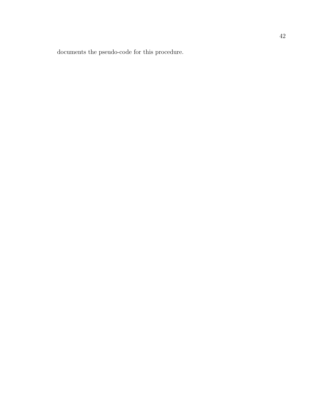documents the pseudo-code for this procedure.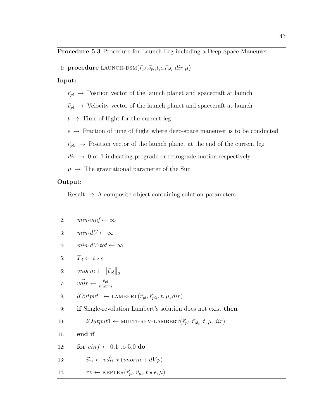1: procedure LAUNCH-DSM $(\vec{r}_{pl}, \vec{v}_{pl}, t, \epsilon, \vec{r}_{plt}, dir, \mu)$ 

#### Input:

- $\vec{r}_{pl}$   $\;\rightarrow$  Position vector of the launch planet and spacecraft at launch
- $\vec{v}_{pl} \rightarrow$  Velocity vector of the launch planet and spacecraft at launch
- $t \rightarrow$  Time of flight for the current leg
- $\epsilon \rightarrow$  Fraction of time of flight where deep-space maneuver is to be conducted

 $\vec{r}_{pl_t} \rightarrow$  Position vector of the launch planet at the end of the current leg

 $\text{dir} \rightarrow 0$  or 1 indicating prograde or retrograde motion respectively

 $\mu \rightarrow$  The gravitational parameter of the Sun

#### Output:

Result  $\rightarrow$  A composite object containing solution parameters

2: 
$$
min\text{-}vinf \leftarrow \infty
$$

$$
3: \qquad min\text{-}dV \leftarrow \infty
$$

4:  $min-dV-tot \leftarrow \infty$ 

5: 
$$
T_d \leftarrow t \star \epsilon
$$

$$
6: \qquad vnorm \leftarrow ||\vec{v}_{pl}||_2
$$

7: 
$$
v\vec{d}ir \leftarrow \frac{\vec{v}_{pl}}{vnorm}
$$

8: 
$$
lOutput1 \leftarrow \text{LAMBERT}(\vec{r}_{pl}, \vec{r}_{pl_t}, t, \mu, dir)
$$

9: if Single-revolution Lambert's solution does not exist then

10: 
$$
lOutput1 \leftarrow \text{MULTI-REV-LAMBERT}(\vec{r}_{pl}, \vec{r}_{pl_t}, t, \mu, dir)
$$

- 11: end if
- 12: **for**  $vinf \leftarrow 0.1$  to 5.0 do

13: 
$$
\vec{v}_m \leftarrow v \vec{dir} \star (vnorm + dVp)
$$

14: 
$$
rv \leftarrow \text{KEPLER}(\vec{r}_{pl}, \vec{v}_m, t \star \epsilon, \mu)
$$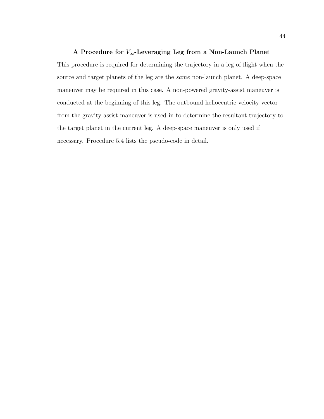## A Procedure for  $V_{\infty}$ -Leveraging Leg from a Non-Launch Planet

This procedure is required for determining the trajectory in a leg of flight when the source and target planets of the leg are the same non-launch planet. A deep-space maneuver may be required in this case. A non-powered gravity-assist maneuver is conducted at the beginning of this leg. The outbound heliocentric velocity vector from the gravity-assist maneuver is used in to determine the resultant trajectory to the target planet in the current leg. A deep-space maneuver is only used if necessary. Procedure 5.4 lists the pseudo-code in detail.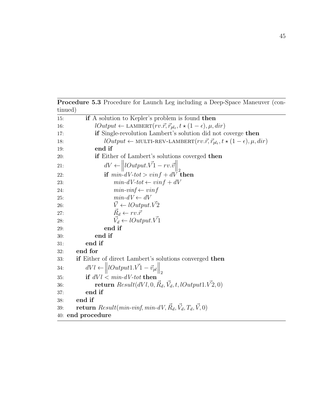| tinued)                                                                                                          |  |  |
|------------------------------------------------------------------------------------------------------------------|--|--|
| if A solution to Kepler's problem is found then<br>15:                                                           |  |  |
| $lOutput \leftarrow \text{LAMBERT}(rv.\vec{r}, \vec{r}_{pl_t}, t \star (1-\epsilon), \mu, dir)$                  |  |  |
| <b>if</b> Single-revolution Lambert's solution did not coverge then<br>17:                                       |  |  |
| $lOutput \leftarrow \text{MULTI-REV-LAMBERT}(rv.\vec{r}, \vec{r}_{pl_t}, t \star (1-\epsilon), \mu, dir)$<br>18: |  |  |
| end if<br>19:                                                                                                    |  |  |
| if Either of Lambert's solutions coverged then<br><b>20:</b>                                                     |  |  |
| $dV \leftarrow   \textit{Output}.\vec{V_1} - rv.\vec{v}  _2$<br>21:                                              |  |  |
| if $min-dV-tot > vinf + dV$ then<br>22:                                                                          |  |  |
| $min-dV-tot \leftarrow vinf + dV$<br>23:                                                                         |  |  |
| $min\text{-}vinf \leftarrow vinf$<br>24:                                                                         |  |  |
| $min-dV \leftarrow dV$<br>25:                                                                                    |  |  |
| $\vec{V} \leftarrow lOutput.\vec{V2}$<br>26:                                                                     |  |  |
| $\vec{R}_d \leftarrow rv.\vec{r}$                                                                                |  |  |
| $\vec{V}_d \leftarrow lOutput.\vec{V}$<br>28:                                                                    |  |  |
| end if<br>29:                                                                                                    |  |  |
| end if<br>30:                                                                                                    |  |  |
| end if<br>31:                                                                                                    |  |  |
| end for<br>32:                                                                                                   |  |  |
| if Either of direct Lambert's solutions converged then<br>33:                                                    |  |  |
| $dVl \leftarrow   lOutput1.V1-\vec{v}_{pl}  _2$<br>34:                                                           |  |  |
| if $dVl < min-dV-tot$ then<br>35:                                                                                |  |  |
| <b>return</b> $Result(dVI, 0, R_d, \vec{V}_d, t, lOutput1. \vec{V2}, 0)$<br>36:                                  |  |  |
| end if<br>37:                                                                                                    |  |  |
| end if<br>38:                                                                                                    |  |  |
| <b>return</b> $Result(min-vinf, min-dV, \vec{R}_d, \vec{V}_d, T_d, \vec{V}, 0)$<br>39:                           |  |  |
| 40: end procedure                                                                                                |  |  |

Procedure 5.3 Procedure for Launch Leg including a Deep-Space Maneuver (con-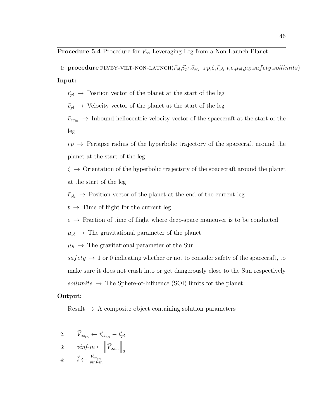1: **procedure** FLYBY-VILT-NON-LAUNCH $(\vec{r}_{pl}, \vec{v}_{pl}, \vec{v}_{sc_{in}}, rp, \zeta, \vec{r}_{pl_t}, t, \epsilon, \mu_{pl}, \mu_S, satfety, soil units)$ Input:

 $\vec{r}_{pl} \rightarrow$  Position vector of the planet at the start of the leg

 $\vec{v}_{pl} \rightarrow$  Velocity vector of the planet at the start of the leg

 $\vec{v}_{sc_{in}} \rightarrow$  Inbound heliocentric velocity vector of the spacecraft at the start of the leg

 $rp \rightarrow$  Periapse radius of the hyperbolic trajectory of the spacecraft around the planet at the start of the leg

 $\zeta \rightarrow$  Orientation of the hyperbolic trajectory of the spacecraft around the planet at the start of the leg

 $\vec{r}_{pl_t} \rightarrow$  Position vector of the planet at the end of the current leg

 $t \rightarrow$  Time of flight for the current leg

 $\epsilon \rightarrow$  Fraction of time of flight where deep-space maneuver is to be conducted

 $\mu_{pl} \rightarrow$  The gravitational parameter of the planet

 $\mu_S \rightarrow$  The gravitational parameter of the Sun

 $safety \rightarrow 1$  or 0 indicating whether or not to consider safety of the spacecraft, to make sure it does not crash into or get dangerously close to the Sun respectively soilimits  $\rightarrow$  The Sphere-of-Influence (SOI) limits for the planet

#### Output:

Result  $\rightarrow$  A composite object containing solution parameters

2: 
$$
\vec{V}_{\infty_{in}} \leftarrow \vec{v}_{sc_{in}} - \vec{v}_{pl}
$$
  
\n3:  $vinf-in \leftarrow ||\vec{V}_{\infty_{in}}||_2$   
\n4:  $\vec{i} \leftarrow \frac{\vec{V}_{\infty_{in}}}{vinf-in}$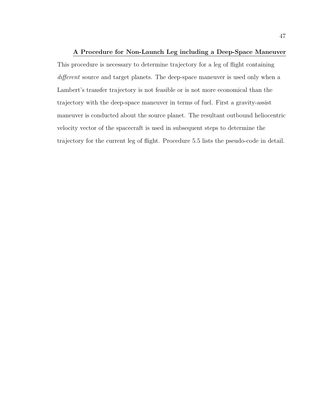## A Procedure for Non-Launch Leg including a Deep-Space Maneuver

This procedure is necessary to determine trajectory for a leg of flight containing different source and target planets. The deep-space maneuver is used only when a Lambert's transfer trajectory is not feasible or is not more economical than the trajectory with the deep-space maneuver in terms of fuel. First a gravity-assist maneuver is conducted about the source planet. The resultant outbound heliocentric velocity vector of the spacecraft is used in subsequent steps to determine the trajectory for the current leg of flight. Procedure 5.5 lists the pseudo-code in detail.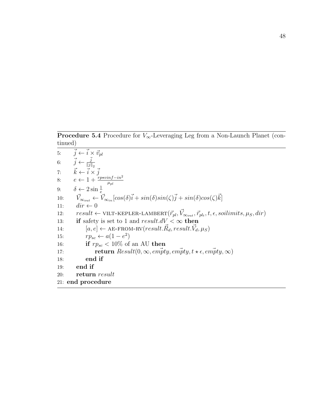**Procedure 5.4** Procedure for  $V_{\infty}$ -Leveraging Leg from a Non-Launch Planet (continued)

5:  $\vec{j} \leftarrow \vec{i} \times \vec{v}_{pl}$ 6:  $\vec{j} \leftarrow \vec{j}$  $||j||_2$ 7:  $\vec{k} \leftarrow \vec{i} \times \vec{j}$ 8:  $e \leftarrow 1 + \frac{rp \star vinf - in^2}{\mu_{pl}}$ 9:  $\delta \leftarrow 2 \sin \frac{1}{e}$ 10:  $\vec{V}_{\infty_{out}} \leftarrow \vec{V}_{\infty_{in}}[cos(\delta)\vec{i} + sin(\delta)sin(\zeta)\vec{j} + sin(\delta)cos(\zeta)\vec{k}]$ 11:  $dir \leftarrow 0$ 12:  $result \leftarrow \text{VILT-KEPLER-LAMBERT}(\vec{r}_{pl}, \vec{V}_{\infty_{out}}, \vec{r}_{pl_t}, t, \epsilon, soilimits, \mu_S, dir)$ 13: if safety is set to 1 and  $result.dV < \infty$  then 14:  $[a, e] \leftarrow$  AE-FROM-RV $(result. \vec{R}_d, result. \vec{V}_d, \mu_S)$ 15:  $rp_{sc} \leftarrow a(1-e^2)$ 16: **if**  $rp_{sc} < 10\%$  of an AU then 17: **return**  $Result(0, \infty, \text{empty}, \text{empty}, t \star \epsilon, \text{empty}, \infty)$ 18: end if 19: end if 20: return result 21: end procedure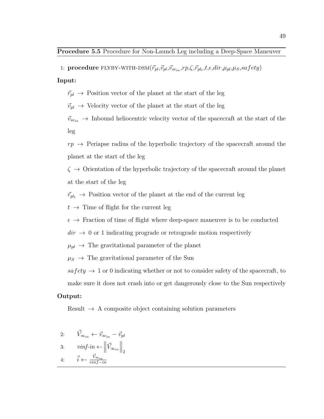1: procedure FLYBY-WITH-DSM $(\vec{r}_{pl}, \vec{v}_{pl}, \vec{v}_{sc_{in}}, rp, \zeta, \vec{r}_{pl_t}, t, \epsilon, dir, \mu_{pl}, \mu_S, safety)$ 

Input:

 $\vec{r}_{pl} \rightarrow$  Position vector of the planet at the start of the leg

 $\vec{v}_{pl} \rightarrow$  Velocity vector of the planet at the start of the leg

 $\vec{v}_{scin} \rightarrow$  Inbound heliocentric velocity vector of the spacecraft at the start of the leg

 $rp \rightarrow$  Periapse radius of the hyperbolic trajectory of the spacecraft around the planet at the start of the leg

 $\zeta \rightarrow$  Orientation of the hyperbolic trajectory of the spacecraft around the planet at the start of the leg

 $\vec{r}_{pl_t} \rightarrow$  Position vector of the planet at the end of the current leg

 $t \rightarrow$  Time of flight for the current leg

 $\epsilon \rightarrow$  Fraction of time of flight where deep-space maneuver is to be conducted

 $dir \rightarrow 0$  or 1 indicating prograde or retrograde motion respectively

 $\mu_{pl} \rightarrow$  The gravitational parameter of the planet

 $\mu_S \rightarrow$  The gravitational parameter of the Sun

 $safety \rightarrow 1$  or 0 indicating whether or not to consider safety of the spacecraft, to

make sure it does not crash into or get dangerously close to the Sun respectively

## Output:

Result  $\rightarrow$  A composite object containing solution parameters

2: 
$$
\vec{V}_{\infty_{in}} \leftarrow \vec{v}_{sc_{in}} - \vec{v}_{pl}
$$
  
\n3:  $vinf-in \leftarrow ||\vec{V}_{\infty_{in}}||_2$   
\n4:  $\vec{i} \leftarrow \frac{\vec{V}_{\infty_{in}}}{vinf-in}$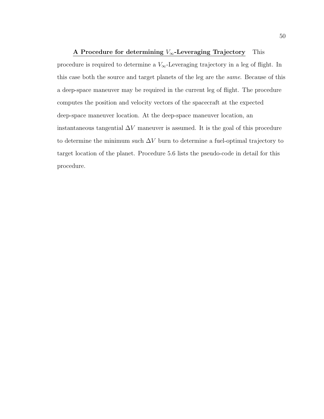A Procedure for determining  $V_{\infty}$ -Leveraging Trajectory This procedure is required to determine a  $V_{\infty}$ -Leveraging trajectory in a leg of flight. In this case both the source and target planets of the leg are the same. Because of this a deep-space maneuver may be required in the current leg of flight. The procedure computes the position and velocity vectors of the spacecraft at the expected deep-space maneuver location. At the deep-space maneuver location, an instantaneous tangential  $\Delta V$  maneuver is assumed. It is the goal of this procedure to determine the minimum such  $\Delta V$  burn to determine a fuel-optimal trajectory to target location of the planet. Procedure 5.6 lists the pseudo-code in detail for this procedure.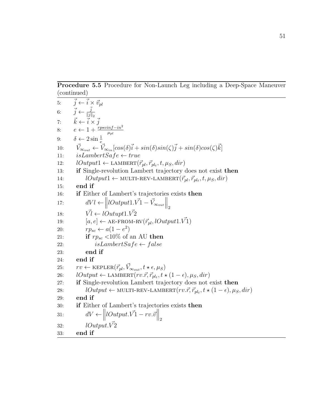Procedure 5.5 Procedure for Non-Launch Leg including a Deep-Space Maneuver (continued)

| 5:         | $\vec{j} \leftarrow \vec{i} \times \vec{v}_{pl}$                                                                                                           |
|------------|------------------------------------------------------------------------------------------------------------------------------------------------------------|
|            | 6: $\vec{j} \leftarrow \frac{\vec{j}}{\ \vec{j}\ _{\circ}}$                                                                                                |
|            | 7: $\vec{k} \leftarrow \vec{i} \times \vec{j}$<br>8: $e \leftarrow 1 + \frac{rp \times inf - in^2}{\mu_{pl}}$<br>9: $\delta \leftarrow 2 \sin \frac{1}{e}$ |
|            |                                                                                                                                                            |
|            |                                                                                                                                                            |
| 10:        | $\vec{V}_{\infty_{out}} \leftarrow \vec{V}_{\infty_{in}}[cos(\delta)\vec{i} + sin(\delta)sin(\zeta)\vec{j} + sin(\delta)cos(\zeta)\vec{k}]$                |
| 11:        | $isLambertSafe \leftarrow true$                                                                                                                            |
| 12:        | $lOutput1 \leftarrow \text{LAMBERT}(\vec{r}_{pl}, \vec{r}_{pl_t}, t, \mu_S, dir)$                                                                          |
| 13:        | if Single-revolution Lambert trajectory does not exist then                                                                                                |
| 14:        | $lOutput1 \leftarrow \text{MULTI-REV-LAMBERT}(\vec{r}_{pl}, \vec{r}_{pl_t}, t, \mu_S, dir)$                                                                |
| 15:        | end if                                                                                                                                                     |
| 16:        | <b>if</b> Either of Lambert's trajectories exists then                                                                                                     |
| 17:        | $dVl \leftarrow   lOutput1.\vec{V_1} - \vec{V}_{\infty_{out}}  _2$                                                                                         |
| 18:        | $\vec{VI} \leftarrow \textit{lOutput1}.\vec{V2}$                                                                                                           |
| 19:        | $[a, e] \leftarrow$ AE-FROM-RV $(\vec{r}_{pl}, lOutput1. \vec{V1})$                                                                                        |
| 20:        | $rp_{sc} \leftarrow a(1-e^2)$                                                                                                                              |
| 21:        | if $rp_{sc}$ <10% of an AU then                                                                                                                            |
| 22:        | $isLambertSafe \leftarrow false$                                                                                                                           |
| 23:        | end if                                                                                                                                                     |
| 24:        | end if                                                                                                                                                     |
| <b>25:</b> | $rv \leftarrow \text{KEPLER}(\vec{r}_{pl}, \vec{V}_{\infty_{out}}, t \star \epsilon, \mu_S)$                                                               |
| 26:        | $lOutput \leftarrow \text{LAMBERT}(rv.\vec{r}, \vec{r}_{pl_t}, t \star (1-\epsilon), \mu_S, dir)$                                                          |
| 27:        | if Single-revolution Lambert trajectory does not exist then                                                                                                |
| 28:        | $lOutput \leftarrow \text{MULTI-REV-LAMBERT}(rv.\vec{r}, \vec{r}_{plt}, t \star (1-\epsilon), \mu_S, dir)$                                                 |
| 29:        | end if                                                                                                                                                     |
| 30:        | <b>if</b> Either of Lambert's trajectories exists then                                                                                                     |
| 31:        | $dV \leftarrow   \textit{Output}.\vec{V_1} - rv.\vec{v}  _2$                                                                                               |
| 32:        | lOutput. V2                                                                                                                                                |
| 33:        | end if                                                                                                                                                     |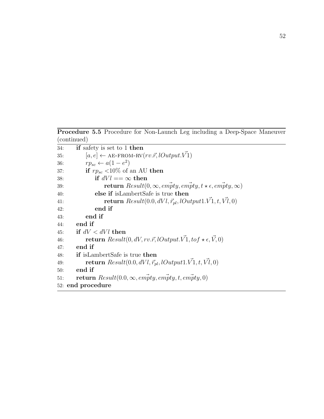Procedure 5.5 Procedure for Non-Launch Leg including a Deep-Space Maneuver (continued)

| 34: | if safety is set to 1 then                                                                            |
|-----|-------------------------------------------------------------------------------------------------------|
| 35: | $[a, e] \leftarrow$ AE-FROM-RV $(rv.\vec{r}, lOutput. V1)$                                            |
| 36: | $rp_{sc} \leftarrow a(1-e^2)$                                                                         |
| 37: | if $rp_{sc}$ <10% of an AU then                                                                       |
| 38: | if $dVl == \infty$ then                                                                               |
| 39: | <b>return</b> $Result(0, \infty, \text{empty}, \text{empty}, t \star \epsilon, \text{empty}, \infty)$ |
| 40: | else if is Lambert Safe is true then                                                                  |
| 41: | return $Result(0.0, dVl, \vec{r}_{pl}, lOutput1.V1, t, Vl, 0)$                                        |
| 42: | end if                                                                                                |
| 43: | end if                                                                                                |
| 44: | end if                                                                                                |
| 45: | if $dV < dVl$ then                                                                                    |
| 46: | <b>return</b> $Result(0, dV, rv.\vec{r}, lOutput.\vec{V1}, to f \star \epsilon, \vec{V}, 0)$          |
| 47: | end if                                                                                                |
| 48: | <b>if</b> is Lambert Safe is true <b>then</b>                                                         |
| 49: | <b>return</b> $Result(0.0, dVl, \vec{r}_{pl}, lOutput1. \vec{V1}, t, \vec{Vl}, 0)$                    |
| 50: | end if                                                                                                |
| 51: | return $Result(0.0, \infty, \textit{empty}, \textit{empty}, t, \textit{empty}, 0)$                    |
|     | 52: end procedure                                                                                     |
|     |                                                                                                       |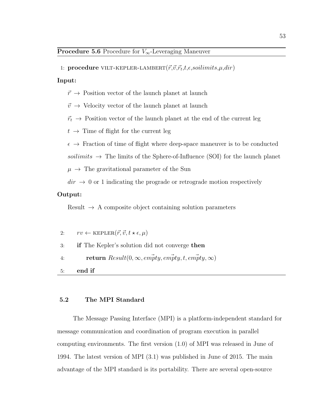1: procedure VILT-KEPLER-LAMBERT $(\vec{r}, \vec{v}, \vec{r}_t, t, \epsilon, so limits, \mu, dir)$ 

#### Input:

- $\vec{r} \rightarrow$  Position vector of the launch planet at launch
- $\vec{v} \rightarrow$  Velocity vector of the launch planet at launch
- $\vec{r_t}$   $\rightarrow$  Position vector of the launch planet at the end of the current leg
- $t \rightarrow$  Time of flight for the current leg
- $\epsilon \rightarrow$  Fraction of time of flight where deep-space maneuver is to be conducted

soilimits  $\rightarrow$  The limits of the Sphere-of-Influence (SOI) for the launch planet

 $\mu \rightarrow$  The gravitational parameter of the Sun

 $dir \rightarrow 0$  or 1 indicating the prograde or retrograde motion respectively

## Output:

Result  $\rightarrow$  A composite object containing solution parameters

2:  $rv \leftarrow \text{KEPLER}(\vec{r}, \vec{v}, t \star \epsilon, \mu)$ 3: if The Kepler's solution did not converge then 4: return  $Result(0, \infty, em\vec{p}ty, em\vec{p}ty, t, em\vec{p}ty, \infty)$ 5: end if

## 5.2 The MPI Standard

The Message Passing Interface (MPI) is a platform-independent standard for message communication and coordination of program execution in parallel computing environments. The first version (1.0) of MPI was released in June of 1994. The latest version of MPI (3.1) was published in June of 2015. The main advantage of the MPI standard is its portability. There are several open-source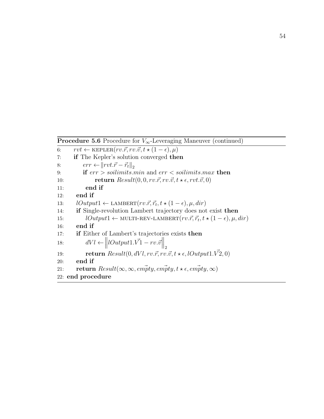**Procedure 5.6** Procedure for  $V_\infty$ -Leveraging Maneuver (continued)

```
6: rvt \leftarrow \text{KEPLER}(rv.\vec{r}, rv.\vec{v}, t \star (1 - \epsilon), \mu)7: if The Kepler's solution converged then
8: err \leftarrow ||rvt.\vec{r} - \vec{r_t}||_29: if err > soilimits.min and err < soilimits.max then
10: return Result(0, 0, rv.\vec{r}, rv.\vec{v}, t \star \epsilon, rvt.\vec{v}, 0)11: end if
12: end if
13: lOutput1 \leftarrow \text{LAMBERT}(rv.\vec{r}, \vec{r_t}, t \star (1 - \epsilon), \mu, dir)14: if Single-revolution Lambert trajectory does not exist then
15: lOutput1 \leftarrow \text{MULTI-REV-LAMBERT}(rv.\vec{r}, \vec{r}_t, t \star (1-\epsilon), \mu, dir)16: end if
17: if Either of Lambert's trajectories exists then
18: dVl \leftarrow \left\| lOutput1.\vec{V1} - rv.\vec{v} \right\|_219: return Result(0, dVl, rv. \vec{r}, rv. \vec{v}, t \star \epsilon, lOutput1. \vec{V2}, 0)20: end if
21: return Result(\infty, \infty, empirty, empirty, t \star \epsilon, empirty, \infty)22: end procedure
```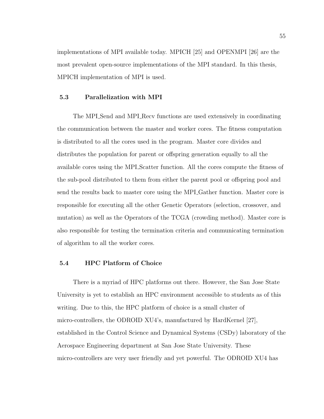implementations of MPI available today. MPICH [25] and OPENMPI [26] are the most prevalent open-source implementations of the MPI standard. In this thesis, MPICH implementation of MPI is used.

## 5.3 Parallelization with MPI

The MPI Send and MPI Recv functions are used extensively in coordinating the communication between the master and worker cores. The fitness computation is distributed to all the cores used in the program. Master core divides and distributes the population for parent or offspring generation equally to all the available cores using the MPI Scatter function. All the cores compute the fitness of the sub-pool distributed to them from either the parent pool or offspring pool and send the results back to master core using the MPI Gather function. Master core is responsible for executing all the other Genetic Operators (selection, crossover, and mutation) as well as the Operators of the TCGA (crowding method). Master core is also responsible for testing the termination criteria and communicating termination of algorithm to all the worker cores.

## 5.4 HPC Platform of Choice

There is a myriad of HPC platforms out there. However, the San Jose State University is yet to establish an HPC environment accessible to students as of this writing. Due to this, the HPC platform of choice is a small cluster of micro-controllers, the ODROID XU4's, manufactured by HardKernel [27], established in the Control Science and Dynamical Systems (CSDy) laboratory of the Aerospace Engineering department at San Jose State University. These micro-controllers are very user friendly and yet powerful. The ODROID XU4 has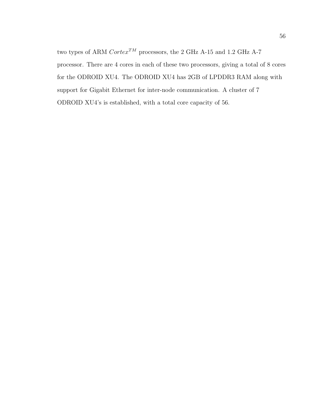two types of ARM  $\ensuremath{\textit{Cortex}}^{TM}$  processors, the 2 GHz A-15 and 1.2 GHz A-7 processor. There are 4 cores in each of these two processors, giving a total of 8 cores for the ODROID XU4. The ODROID XU4 has 2GB of LPDDR3 RAM along with support for Gigabit Ethernet for inter-node communication. A cluster of 7 ODROID XU4's is established, with a total core capacity of 56.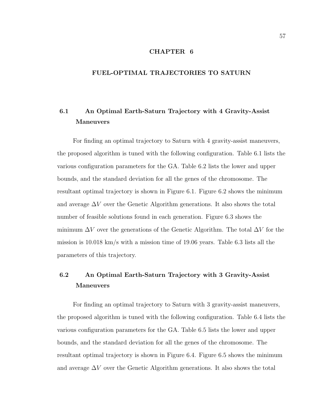## CHAPTER 6

## FUEL-OPTIMAL TRAJECTORIES TO SATURN

## 6.1 An Optimal Earth-Saturn Trajectory with 4 Gravity-Assist Maneuvers

For finding an optimal trajectory to Saturn with 4 gravity-assist maneuvers, the proposed algorithm is tuned with the following configuration. Table 6.1 lists the various configuration parameters for the GA. Table 6.2 lists the lower and upper bounds, and the standard deviation for all the genes of the chromosome. The resultant optimal trajectory is shown in Figure 6.1. Figure 6.2 shows the minimum and average  $\Delta V$  over the Genetic Algorithm generations. It also shows the total number of feasible solutions found in each generation. Figure 6.3 shows the minimum  $\Delta V$  over the generations of the Genetic Algorithm. The total  $\Delta V$  for the mission is 10.018 km/s with a mission time of 19.06 years. Table 6.3 lists all the parameters of this trajectory.

## 6.2 An Optimal Earth-Saturn Trajectory with 3 Gravity-Assist Maneuvers

For finding an optimal trajectory to Saturn with 3 gravity-assist maneuvers, the proposed algorithm is tuned with the following configuration. Table 6.4 lists the various configuration parameters for the GA. Table 6.5 lists the lower and upper bounds, and the standard deviation for all the genes of the chromosome. The resultant optimal trajectory is shown in Figure 6.4. Figure 6.5 shows the minimum and average  $\Delta V$  over the Genetic Algorithm generations. It also shows the total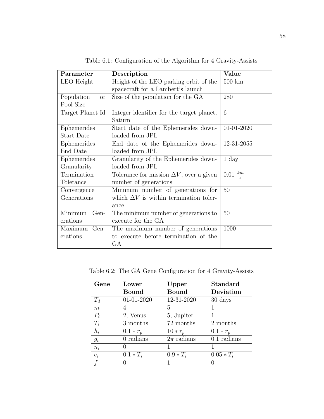| Parameter               | Description                                     | Value                  |
|-------------------------|-------------------------------------------------|------------------------|
| LEO Height              | Height of the LEO parking orbit of the          | $500 \; \mathrm{km}$   |
|                         | spacecraft for a Lambert's launch               |                        |
| Population<br><b>or</b> | Size of the population for the GA               | 280                    |
| Pool Size               |                                                 |                        |
| Target Planet Id        | Integer identifier for the target planet,       | 6                      |
|                         | Saturn                                          |                        |
| Ephemerides             | Start date of the Ephemerides down-             | 01-01-2020             |
| <b>Start Date</b>       | loaded from JPL                                 |                        |
| Ephemerides             | End date of the Ephemerides down-               | 12-31-2055             |
| End Date                | loaded from JPL                                 |                        |
| Ephemerides             | Granularity of the Ephemerides down-            | $1 \mathrm{day}$       |
| Granularity             | loaded from JPL                                 |                        |
| Termination             | Tolerance for mission $\Delta V$ , over a given | $\frac{km}{s}$<br>0.01 |
| Tolerance               | number of generations                           |                        |
| Convergence             | Minimum number of generations for               | 50                     |
| Generations             | which $\Delta V$ is within termination toler-   |                        |
|                         | ance                                            |                        |
| Minimum<br>Gen-         | The minimum number of generations to            | 50                     |
| erations                | execute for the GA                              |                        |
| Maximum<br>Gen-         | The maximum number of generations               | 1000                   |
| erations                | to execute before termination of the            |                        |
|                         | GA                                              |                        |

Table 6.1: Configuration of the Algorithm for 4 Gravity-Assists

Table 6.2: The GA Gene Configuration for 4 Gravity-Assists

| Gene  | Lower        | Upper          | <b>Standard</b> |
|-------|--------------|----------------|-----------------|
|       | Bound        | <b>Bound</b>   | Deviation       |
| $T_d$ | $01-01-2020$ | 12-31-2020     | 30 days         |
| m     |              | 5              |                 |
| $P_i$ | 2, Venus     | 5, Jupiter     |                 |
| $T_i$ | 3 months     | 72 months      | 2 months        |
| $h_i$ | $0.1 * r_p$  | $10*r_p$       | $0.1 * r_p$     |
| $g_i$ | $0$ radians  | $2\pi$ radians | $0.1$ radians   |
| $n_i$ |              |                |                 |
| $e_i$ | $0.1 * T_i$  | $0.9 * T_i$    | $0.05 * T_i$    |
|       |              |                |                 |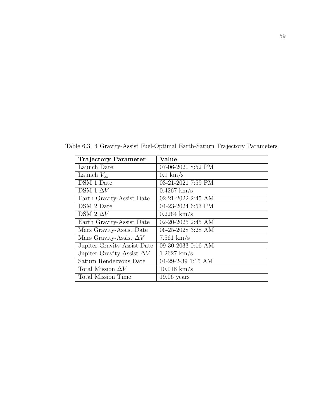| <b>Trajectory Parameter</b>       | Value                 |
|-----------------------------------|-----------------------|
| Launch Date                       | 07-06-2020 8:52 PM    |
| Launch $V_{\infty}$               | $0.1 \text{ km/s}$    |
| DSM 1 Date                        | 03-21-2021 7:59 PM    |
| DSM 1 $\Delta V$                  | $0.4267 \;{\rm km/s}$ |
| Earth Gravity-Assist Date         | 02-21-2022 2:45 AM    |
| DSM 2 Date                        | 04-23-2024 6:53 PM    |
| DSM 2 $\Delta V$                  | $0.2264 \text{ km/s}$ |
| Earth Gravity-Assist Date         | 02-20-2025 2:45 AM    |
| Mars Gravity-Assist Date          | 06-25-2028 3:28 AM    |
| Mars Gravity-Assist $\Delta V$    | $7.561 \text{ km/s}$  |
| Jupiter Gravity-Assist Date       | 09-30-2033 0:16 AM    |
| Jupiter Gravity-Assist $\Delta V$ | $1.2627 \text{ km/s}$ |
| Saturn Rendezvous Date            | 04-29-2-39 1:15 AM    |
| Total Mission $\Delta V$          | $10.018 \text{ km/s}$ |
| <b>Total Mission Time</b>         | $19.06$ years         |

Table 6.3: 4 Gravity-Assist Fuel-Optimal Earth-Saturn Trajectory Parameters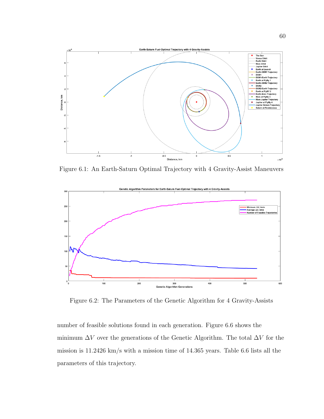

Figure 6.1: An Earth-Saturn Optimal Trajectory with 4 Gravity-Assist Maneuvers



Figure 6.2: The Parameters of the Genetic Algorithm for 4 Gravity-Assists

number of feasible solutions found in each generation. Figure 6.6 shows the minimum  $\Delta V$  over the generations of the Genetic Algorithm. The total  $\Delta V$  for the mission is 11.2426 km/s with a mission time of 14.365 years. Table 6.6 lists all the parameters of this trajectory.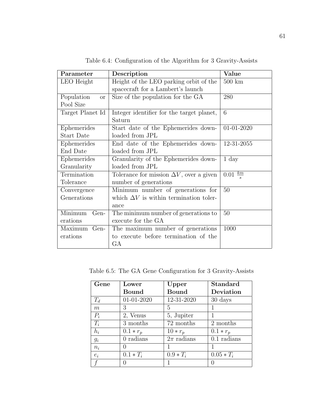| Parameter               | Description                                     | Value                  |
|-------------------------|-------------------------------------------------|------------------------|
| LEO Height              | Height of the LEO parking orbit of the          | $500 \; \mathrm{km}$   |
|                         | spacecraft for a Lambert's launch               |                        |
| Population<br><b>or</b> | Size of the population for the GA               | 280                    |
| Pool Size               |                                                 |                        |
| Target Planet Id        | Integer identifier for the target planet,       | 6                      |
|                         | Saturn                                          |                        |
| Ephemerides             | Start date of the Ephemerides down-             | 01-01-2020             |
| <b>Start Date</b>       | loaded from JPL                                 |                        |
| Ephemerides             | End date of the Ephemerides down-               | 12-31-2055             |
| End Date                | loaded from JPL                                 |                        |
| Ephemerides             | Granularity of the Ephemerides down-            | $1 \mathrm{day}$       |
| Granularity             | loaded from JPL                                 |                        |
| Termination             | Tolerance for mission $\Delta V$ , over a given | $\frac{km}{s}$<br>0.01 |
| Tolerance               | number of generations                           |                        |
| Convergence             | Minimum number of generations for               | 50                     |
| Generations             | which $\Delta V$ is within termination toler-   |                        |
|                         | ance                                            |                        |
| Minimum<br>Gen-         | The minimum number of generations to            | 50                     |
| erations                | execute for the GA                              |                        |
| Maximum<br>Gen-         | The maximum number of generations               | 1000                   |
| erations                | to execute before termination of the            |                        |
|                         | GA                                              |                        |

Table 6.4: Configuration of the Algorithm for 3 Gravity-Assists

Table 6.5: The GA Gene Configuration for 3 Gravity-Assists

| Gene  | Lower        | Upper          | <b>Standard</b> |
|-------|--------------|----------------|-----------------|
|       | Bound        | <b>Bound</b>   | Deviation       |
| $T_d$ | $01-01-2020$ | 12-31-2020     | 30 days         |
| m     | 3            | 5              |                 |
| $P_i$ | 2, Venus     | 5, Jupiter     |                 |
| $T_i$ | 3 months     | 72 months      | 2 months        |
| $h_i$ | $0.1 * r_p$  | $10*r_p$       | $0.1 * r_p$     |
| $g_i$ | $0$ radians  | $2\pi$ radians | $0.1$ radians   |
| $n_i$ |              |                |                 |
| $e_i$ | $0.1 * T_i$  | $0.9 * T_i$    | $0.05 * T_i$    |
|       |              |                |                 |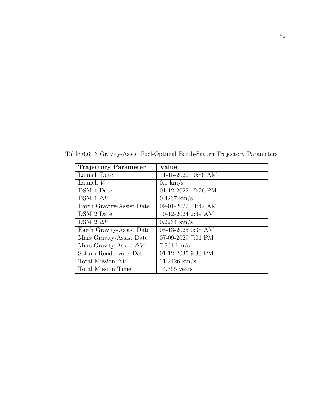| Trajectory Parameter           | Value                 |
|--------------------------------|-----------------------|
| Launch Date                    | 11-15-2020 10:56 AM   |
| Launch $V_{\infty}$            | $0.1 \text{ km/s}$    |
| DSM 1 Date                     | 01-12-2022 12:26 PM   |
| DSM 1 $\Delta V$               | $0.4267 \;{\rm km/s}$ |
| Earth Gravity-Assist Date      | 09-01-2022 11:42 AM   |
| DSM 2 Date                     | 10-12-2024 2:49 AM    |
| DSM 2 $\Delta V$               | $0.2264 \;{\rm km/s}$ |
| Earth Gravity-Assist Date      | 08-13-2025 0:35 AM    |
| Mars Gravity-Assist Date       | 07-09-2029 7:01 PM    |
| Mars Gravity-Assist $\Delta V$ | $7.561 \text{ km/s}$  |
| Saturn Rendezvous Date         | 01-12-2035 9:33 PM    |
| Total Mission $\Delta V$       | $11.2426$ km/s        |
| Total Mission Time             | $14.365$ years        |

Table 6.6: 3 Gravity-Assist Fuel-Optimal Earth-Saturn Trajectory Parameters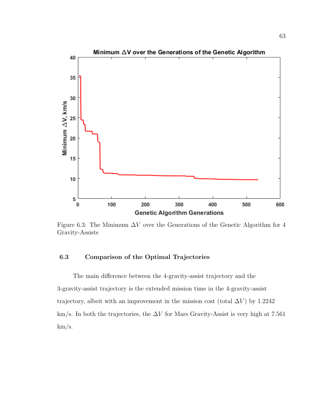

Figure 6.3: The Minimum  $\Delta V$  over the Generations of the Genetic Algorithm for 4 Gravity-Assists

## 6.3 Comparison of the Optimal Trajectories

The main difference between the 4-gravity-assist trajectory and the 3-gravity-assist trajectory is the extended mission time in the 4-gravity-assist trajectory, albeit with an improvement in the mission cost (total  $\Delta V$ ) by 1.2242 km/s. In both the trajectories, the  $\Delta V$  for Mars Gravity-Assist is very high at 7.561 km/s.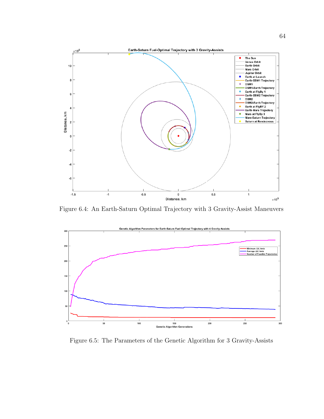

Figure 6.4: An Earth-Saturn Optimal Trajectory with 3 Gravity-Assist Maneuvers



Figure 6.5: The Parameters of the Genetic Algorithm for 3 Gravity-Assists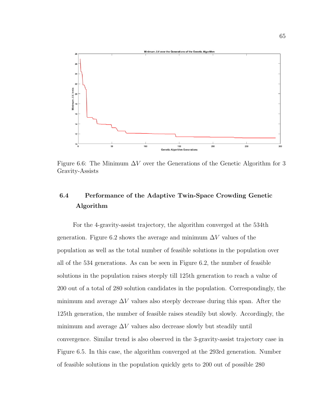

Figure 6.6: The Minimum  $\Delta V$  over the Generations of the Genetic Algorithm for 3 Gravity-Assists

# 6.4 Performance of the Adaptive Twin-Space Crowding Genetic Algorithm

For the 4-gravity-assist trajectory, the algorithm converged at the 534th generation. Figure 6.2 shows the average and minimum  $\Delta V$  values of the population as well as the total number of feasible solutions in the population over all of the 534 generations. As can be seen in Figure 6.2, the number of feasible solutions in the population raises steeply till 125th generation to reach a value of 200 out of a total of 280 solution candidates in the population. Correspondingly, the minimum and average  $\Delta V$  values also steeply decrease during this span. After the 125th generation, the number of feasible raises steadily but slowly. Accordingly, the minimum and average  $\Delta V$  values also decrease slowly but steadily until convergence. Similar trend is also observed in the 3-gravity-assist trajectory case in Figure 6.5. In this case, the algorithm converged at the 293rd generation. Number of feasible solutions in the population quickly gets to 200 out of possible 280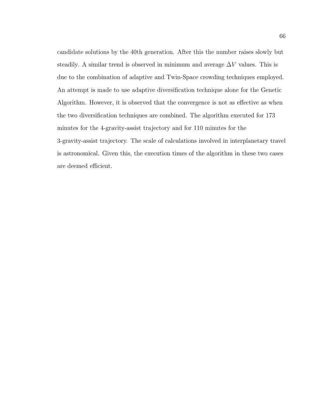candidate solutions by the 40th generation. After this the number raises slowly but steadily. A similar trend is observed in minimum and average  $\Delta V$  values. This is due to the combination of adaptive and Twin-Space crowding techniques employed. An attempt is made to use adaptive diversification technique alone for the Genetic Algorithm. However, it is observed that the convergence is not as effective as when the two diversification techniques are combined. The algorithm executed for 173 minutes for the 4-gravity-assist trajectory and for 110 minutes for the 3-gravity-assist trajectory. The scale of calculations involved in interplanetary travel is astronomical. Given this, the execution times of the algorithm in these two cases are deemed efficient.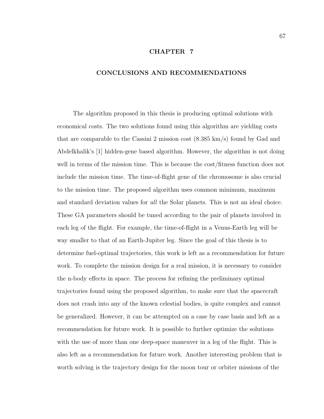### CHAPTER 7

#### CONCLUSIONS AND RECOMMENDATIONS

The algorithm proposed in this thesis is producing optimal solutions with economical costs. The two solutions found using this algorithm are yielding costs that are comparable to the Cassini 2 mission cost (8.385 km/s) found by Gad and Abdelkhalik's [1] hidden-gene based algorithm. However, the algorithm is not doing well in terms of the mission time. This is because the cost/fitness function does not include the mission time. The time-of-flight gene of the chromosome is also crucial to the mission time. The proposed algorithm uses common minimum, maximum and standard deviation values for all the Solar planets. This is not an ideal choice. These GA parameters should be tuned according to the pair of planets involved in each leg of the flight. For example, the time-of-flight in a Venus-Earth leg will be way smaller to that of an Earth-Jupiter leg. Since the goal of this thesis is to determine fuel-optimal trajectories, this work is left as a recommendation for future work. To complete the mission design for a real mission, it is necessary to consider the n-body effects in space. The process for refining the preliminary optimal trajectories found using the proposed algorithm, to make sure that the spacecraft does not crash into any of the known celestial bodies, is quite complex and cannot be generalized. However, it can be attempted on a case by case basis and left as a recommendation for future work. It is possible to further optimize the solutions with the use of more than one deep-space maneuver in a leg of the flight. This is also left as a recommendation for future work. Another interesting problem that is worth solving is the trajectory design for the moon tour or orbiter missions of the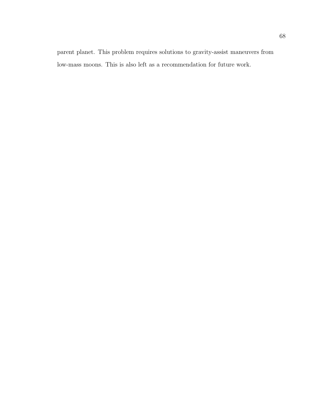parent planet. This problem requires solutions to gravity-assist maneuvers from low-mass moons. This is also left as a recommendation for future work.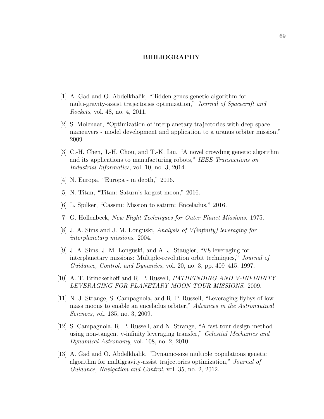#### BIBLIOGRAPHY

- [1] A. Gad and O. Abdelkhalik, "Hidden genes genetic algorithm for multi-gravity-assist trajectories optimization," Journal of Spacecraft and Rockets, vol. 48, no. 4, 2011.
- [2] S. Molenaar, "Optimization of interplanetary trajectories with deep space maneuvers - model development and application to a uranus orbiter mission," 2009.
- [3] C.-H. Chen, J.-H. Chou, and T.-K. Liu, "A novel crowding genetic algorithm and its applications to manufacturing robots," IEEE Transactions on Industrial Informatics, vol. 10, no. 3, 2014.
- [4] N. Europa, "Europa in depth," 2016.
- [5] N. Titan, "Titan: Saturn's largest moon," 2016.
- [6] L. Spilker, "Cassini: Mission to saturn: Enceladus," 2016.
- [7] G. Hollenbeck, New Flight Techniques for Outer Planet Missions. 1975.
- [8] J. A. Sims and J. M. Longuski, Analysis of V(infinity) leveraging for interplanetary missions. 2004.
- [9] J. A. Sims, J. M. Longuski, and A. J. Staugler, "V8 leveraging for interplanetary missions: Multiple-revolution orbit techniques," Journal of Guidance, Control, and Dynamics, vol. 20, no. 3, pp. 409–415, 1997.
- [10] A. T. Brinckerhoff and R. P. Russell, PATHFINDING AND V-INFININTY LEVERAGING FOR PLANETARY MOON TOUR MISSIONS. 2009.
- [11] N. J. Strange, S. Campagnola, and R. P. Russell, "Leveraging flybys of low mass moons to enable an enceladus orbiter," Advances in the Astronautical Sciences, vol. 135, no. 3, 2009.
- [12] S. Campagnola, R. P. Russell, and N. Strange, "A fast tour design method using non-tangent v-infinity leveraging transfer," Celestial Mechanics and Dynamical Astronomy, vol. 108, no. 2, 2010.
- [13] A. Gad and O. Abdelkhalik, "Dynamic-size multiple populations genetic algorithm for multigravity-assist trajectories optimization," Journal of Guidance, Navigation and Control, vol. 35, no. 2, 2012.